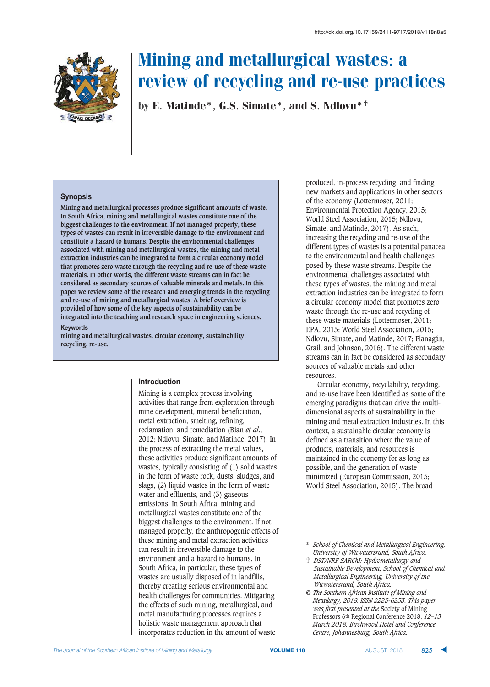

by E. Matinde\*, G.S. Simate\*, and S. Ndlovu\*†

#### **Synopsis**

**Mining and metallurgical processes produce significant amounts of waste. In South Africa, mining and metallurgical wastes constitute one of the biggest challenges to the environment. If not managed properly, these types of wastes can result in irreversible damage to the environment and constitute a hazard to humans. Despite the environmental challenges associated with mining and metallurgical wastes, the mining and metal extraction industries can be integrated to form a circular economy model that promotes zero waste through the recycling and re-use of these waste materials. In other words, the different waste streams can in fact be considered as secondary sources of valuable minerals and metals. In this paper we review some of the research and emerging trends in the recycling and re-use of mining and metallurgical wastes. A brief overview is provided of how some of the key aspects of sustainability can be integrated into the teaching and research space in engineering sciences.**

#### $Keywords$

**mining and metallurgical wastes, circular economy, sustainability, recycling, re-use.**

#### **htroduction**

Mining is a complex process involving activities that range from exploration through mine development, mineral beneficiation, metal extraction, smelting, refining, reclamation, and remediation (Bian *et al*., 2012; Ndlovu, Simate, and Matinde, 2017). In the process of extracting the metal values, these activities produce significant amounts of wastes, typically consisting of (1) solid wastes in the form of waste rock, dusts, sludges, and slags, (2) liquid wastes in the form of waste water and effluents, and (3) gaseous emissions. In South Africa, mining and metallurgical wastes constitute one of the biggest challenges to the environment. If not managed properly, the anthropogenic effects of these mining and metal extraction activities can result in irreversible damage to the environment and a hazard to humans. In South Africa, in particular, these types of wastes are usually disposed of in landfills, thereby creating serious environmental and health challenges for communities. Mitigating the effects of such mining, metallurgical, and metal manufacturing processes requires a holistic waste management approach that incorporates reduction in the amount of waste

produced, in-process recycling, and finding new markets and applications in other sectors of the economy (Lottermoser, 2011; Environmental Protection Agency, 2015; World Steel Association, 2015; Ndlovu, Simate, and Matinde, 2017). As such, increasing the recycling and re-use of the different types of wastes is a potential panacea to the environmental and health challenges posed by these waste streams. Despite the environmental challenges associated with these types of wastes, the mining and metal extraction industries can be integrated to form a circular economy model that promotes zero waste through the re-use and recycling of these waste materials (Lottermoser, 2011; EPA, 2015; World Steel Association, 2015; Ndlovu, Simate, and Matinde, 2017; Flanagán, Grail, and Johnson, 2016). The different waste streams can in fact be considered as secondary sources of valuable metals and other resources.

Circular economy, recyclability, recycling, and re-use have been identified as some of the emerging paradigms that can drive the multidimensional aspects of sustainability in the mining and metal extraction industries. In this context, a sustainable circular economy is defined as a transition where the value of products, materials, and resources is maintained in the economy for as long as possible, and the generation of waste minimized (European Commission, 2015; World Steel Association, 2015). The broad

- † *DST/NRF SARChI: Hydrometallurgy and Sustainable Development, School of Chemical and Metallurgical Engineering, University of the Witwatersrand, South Africa.*
- *© The Southern African Institute of Mining and Metallurgy, 2018. ISSN 2225-6253. This paper was first presented at the* Society of Mining Professors 6th Regional Conference 2018, *12–13 March 2018, Birchwood Hotel and Conference Centre, Johannesburg, South Africa.*

<sup>\*</sup> *School of Chemical and Metallurgical Engineering, University of Witwatersrand, South Africa.*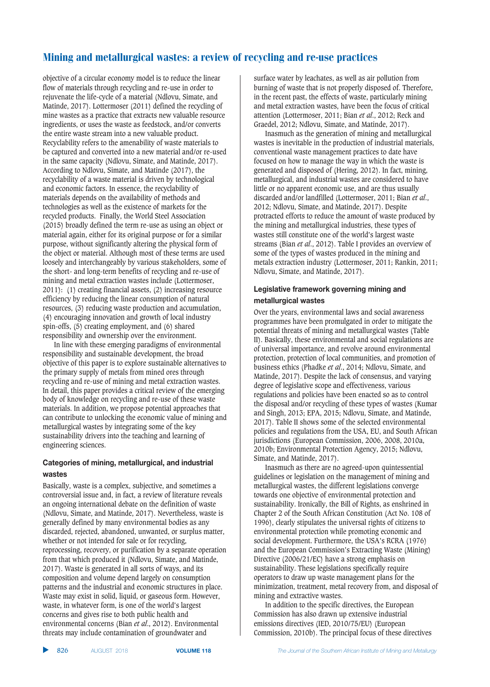objective of a circular economy model is to reduce the linear flow of materials through recycling and re-use in order to rejuvenate the life-cycle of a material (Ndlovu, Simate, and Matinde, 2017). Lottermoser (2011) defined the recycling of mine wastes as a practice that extracts new valuable resource ingredients, or uses the waste as feedstock, and/or converts the entire waste stream into a new valuable product. Recyclability refers to the amenability of waste materials to be captured and converted into a new material and/or re-used in the same capacity (Ndlovu, Simate, and Matinde, 2017). According to Ndlovu, Simate, and Matinde (2017), the recyclability of a waste material is driven by technological and economic factors. In essence, the recyclability of materials depends on the availability of methods and technologies as well as the existence of markets for the recycled products. Finally, the World Steel Association (2015) broadly defined the term re-use as using an object or material again, either for its original purpose or for a similar purpose, without significantly altering the physical form of the object or material. Although most of these terms are used loosely and interchangeably by various stakeholders, some of the short- and long-term benefits of recycling and re-use of mining and metal extraction wastes include (Lottermoser, 2011): (1) creating financial assets, (2) increasing resource efficiency by reducing the linear consumption of natural resources, (3) reducing waste production and accumulation, (4) encouraging innovation and growth of local industry spin-offs, (5) creating employment, and (6) shared responsibility and ownership over the environment.

In line with these emerging paradigms of environmental responsibility and sustainable development, the broad objective of this paper is to explore sustainable alternatives to the primary supply of metals from mined ores through recycling and re-use of mining and metal extraction wastes. In detail, this paper provides a critical review of the emerging body of knowledge on recycling and re-use of these waste materials. In addition, we propose potential approaches that can contribute to unlocking the economic value of mining and metallurgical wastes by integrating some of the key sustainability drivers into the teaching and learning of engineering sciences.

#### **Categories of mining, metallurgical, and industrial**  $was$

Basically, waste is a complex, subjective, and sometimes a controversial issue and, in fact, a review of literature reveals an ongoing international debate on the definition of waste (Ndlovu, Simate, and Matinde, 2017). Nevertheless, waste is generally defined by many environmental bodies as any discarded, rejected, abandoned, unwanted, or surplus matter, whether or not intended for sale or for recycling, reprocessing, recovery, or purification by a separate operation from that which produced it (Ndlovu, Simate, and Matinde, 2017). Waste is generated in all sorts of ways, and its composition and volume depend largely on consumption patterns and the industrial and economic structures in place. Waste may exist in solid, liquid, or gaseous form. However, waste, in whatever form, is one of the world's largest concerns and gives rise to both public health and environmental concerns (Bian *et al*., 2012). Environmental threats may include contamination of groundwater and

surface water by leachates, as well as air pollution from burning of waste that is not properly disposed of. Therefore, in the recent past, the effects of waste, particularly mining and metal extraction wastes, have been the focus of critical attention (Lottermoser, 2011; Bian *et al*., 2012; Reck and Graedel, 2012; Ndlovu, Simate, and Matinde, 2017).

Inasmuch as the generation of mining and metallurgical wastes is inevitable in the production of industrial materials, conventional waste management practices to date have focused on how to manage the way in which the waste is generated and disposed of (Hering, 2012). In fact, mining, metallurgical, and industrial wastes are considered to have little or no apparent economic use, and are thus usually discarded and/or landfilled (Lottermoser, 2011; Bian *et al*., 2012; Ndlovu, Simate, and Matinde, 2017). Despite protracted efforts to reduce the amount of waste produced by the mining and metallurgical industries, these types of wastes still constitute one of the world's largest waste streams (Bian *et al*., 2012). Table I provides an overview of some of the types of wastes produced in the mining and metals extraction industry (Lottermoser, 2011; Rankin, 2011; Ndlovu, Simate, and Matinde, 2017).

### **Legislative framework governing mining and 2metallurgical wastes**

Over the years, environmental laws and social awareness programmes have been promulgated in order to mitigate the potential threats of mining and metallurgical wastes (Table II). Basically, these environmental and social regulations are of universal importance, and revolve around environmental protection, protection of local communities, and promotion of business ethics (Phadke *et al*., 2014; Ndlovu, Simate, and Matinde, 2017). Despite the lack of consensus, and varying degree of legislative scope and effectiveness, various regulations and policies have been enacted so as to control the disposal and/or recycling of these types of wastes (Kumar and Singh, 2013; EPA, 2015; Ndlovu, Simate, and Matinde, 2017). Table II shows some of the selected environmental policies and regulations from the USA, EU, and South African jurisdictions (European Commission, 2006, 2008, 2010a, 2010b; Environmental Protection Agency, 2015; Ndlovu, Simate, and Matinde, 2017).

Inasmuch as there are no agreed-upon quintessential guidelines or legislation on the management of mining and metallurgical wastes, the different legislations converge towards one objective of environmental protection and sustainability. Ironically, the Bill of Rights, as enshrined in Chapter 2 of the South African Constitution (Act No. 108 of 1996), clearly stipulates the universal rights of citizens to environmental protection while promoting economic and social development. Furthermore, the USA's RCRA (1976) and the European Commission's Extracting Waste (Mining) Directive (2006/21/EC) have a strong emphasis on sustainability. These legislations specifically require operators to draw up waste management plans for the minimization, treatment, metal recovery from, and disposal of mining and extractive wastes.

In addition to the specific directives, the European Commission has also drawn up extensive industrial emissions directives (IED, 2010/75/EU) (European Commission, 2010b). The principal focus of these directives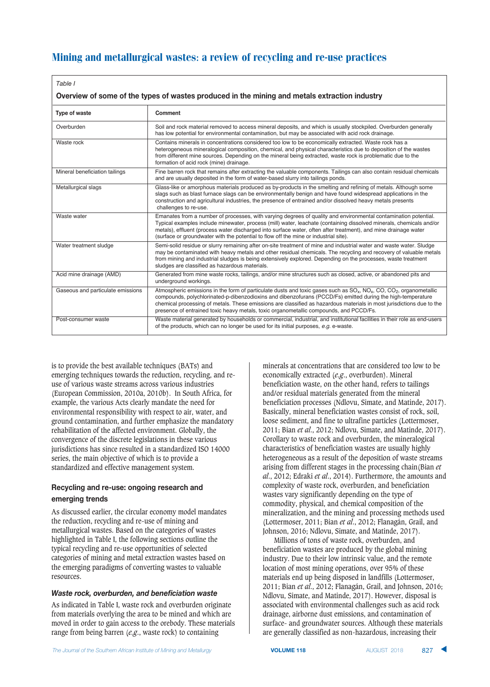| Table I                                                                                       |                                                                                                                                                                                                                                                                                                                                                                                                                                                                   |  |  |
|-----------------------------------------------------------------------------------------------|-------------------------------------------------------------------------------------------------------------------------------------------------------------------------------------------------------------------------------------------------------------------------------------------------------------------------------------------------------------------------------------------------------------------------------------------------------------------|--|--|
| Overview of some of the types of wastes produced in the mining and metals extraction industry |                                                                                                                                                                                                                                                                                                                                                                                                                                                                   |  |  |
| Type of waste                                                                                 | Comment                                                                                                                                                                                                                                                                                                                                                                                                                                                           |  |  |
| Overburden                                                                                    | Soil and rock material removed to access mineral deposits, and which is usually stockpiled. Overburden generally<br>has low potential for environmental contamination, but may be associated with acid rock drainage.                                                                                                                                                                                                                                             |  |  |
| Waste rock                                                                                    | Contains minerals in concentrations considered too low to be economically extracted. Waste rock has a<br>heterogeneous mineralogical composition, chemical, and physical characteristics due to deposition of the wastes<br>from different mine sources. Depending on the mineral being extracted, waste rock is problematic due to the<br>formation of acid rock (mine) drainage.                                                                                |  |  |
| Mineral beneficiation tailings                                                                | Fine barren rock that remains after extracting the valuable components. Tailings can also contain residual chemicals<br>and are usually deposited in the form of water-based slurry into tailings ponds.                                                                                                                                                                                                                                                          |  |  |
| Metallurgical slags                                                                           | Glass-like or amorphous materials produced as by-products in the smelting and refining of metals. Although some<br>slags such as blast furnace slags can be environmentally benign and have found widespread applications in the<br>construction and agricultural industries, the presence of entrained and/or dissolved heavy metals presents<br>challenges to re-use.                                                                                           |  |  |
| Waste water                                                                                   | Emanates from a number of processes, with varying degrees of quality and environmental contamination potential.<br>Typical examples include minewater, process (mill) water, leachate (containing dissolved minerals, chemicals and/or<br>metals), effluent (process water discharged into surface water, often after treatment), and mine drainage water<br>(surface or groundwater with the potential to flow off the mine or industrial site).                 |  |  |
| Water treatment sludge                                                                        | Semi-solid residue or slurry remaining after on-site treatment of mine and industrial water and waste water. Sludge<br>may be contaminated with heavy metals and other residual chemicals. The recycling and recovery of valuable metals<br>from mining and industrial sludges is being extensively explored. Depending on the processes, waste treatment<br>sludges are classified as hazardous materials.                                                       |  |  |
| Acid mine drainage (AMD)                                                                      | Generated from mine waste rocks, tailings, and/or mine structures such as closed, active, or abandoned pits and<br>underground workings.                                                                                                                                                                                                                                                                                                                          |  |  |
| Gaseous and particulate emissions                                                             | Atmospheric emissions in the form of particulate dusts and toxic gases such as $SO_x$ , $NO_x$ , $CO$ , $CO_2$ , organometallic<br>compounds, polychlorinated-p-dibenzodioxins and dibenzofurans (PCCD/Fs) emitted during the high-temperature<br>chemical processing of metals. These emissions are classified as hazardous materials in most jurisdictions due to the<br>presence of entrained toxic heavy metals, toxic organometallic compounds, and PCCD/Fs. |  |  |
| Post-consumer waste                                                                           | Waste material generated by households or commercial, industrial, and institutional facilities in their role as end-users<br>of the products, which can no longer be used for its initial purposes, e.g. e-waste.                                                                                                                                                                                                                                                 |  |  |

is to provide the best available techniques (BATs) and emerging techniques towards the reduction, recycling, and reuse of various waste streams across various industries (European Commission, 2010a, 2010b). In South Africa, for example, the various Acts clearly mandate the need for environmental responsibility with respect to air, water, and ground contamination, and further emphasize the mandatory rehabilitation of the affected environment. Globally, the convergence of the discrete legislations in these various jurisdictions has since resulted in a standardized ISO 14000 series, the main objective of which is to provide a standardized and effective management system.

### **Recycling and re-use: ongoing research and 888**

As discussed earlier, the circular economy model mandates the reduction, recycling and re-use of mining and metallurgical wastes. Based on the categories of wastes highlighted in Table I, the following sections outline the typical recycling and re-use opportunities of selected categories of mining and metal extraction wastes based on the emerging paradigms of converting wastes to valuable resources.

#### **Waste rock, overburden, and beneficiation waste**

As indicated in Table I, waste rock and overburden originate from materials overlying the area to be mined and which are moved in order to gain access to the orebody. These materials range from being barren (*e.g*., waste rock) to containing

minerals at concentrations that are considered too low to be economically extracted (*e.g*., overburden). Mineral beneficiation waste, on the other hand, refers to tailings and/or residual materials generated from the mineral beneficiation processes (Ndlovu, Simate, and Matinde, 2017). Basically, mineral beneficiation wastes consist of rock, soil, loose sediment, and fine to ultrafine particles (Lottermoser, 2011; Bian *et al*., 2012; Ndlovu, Simate, and Matinde, 2017). Corollary to waste rock and overburden, the mineralogical characteristics of beneficiation wastes are usually highly heterogeneous as a result of the deposition of waste streams arising from different stages in the processing chain(Bian *et al*., 2012; Edraki *et al*., 2014). Furthermore, the amounts and complexity of waste rock, overburden, and beneficiation wastes vary significantly depending on the type of commodity, physical, and chemical composition of the mineralization, and the mining and processing methods used (Lottermoser, 2011; Bian *et al*., 2012; Flanagán, Grail, and Johnson, 2016; Ndlovu, Simate, and Matinde, 2017).

Millions of tons of waste rock, overburden, and beneficiation wastes are produced by the global mining industry. Due to their low intrinsic value, and the remote location of most mining operations, over 95% of these materials end up being disposed in landfills (Lottermoser, 2011; Bian *et al*., 2012; Flanagán, Grail, and Johnson, 2016; Ndlovu, Simate, and Matinde, 2017). However, disposal is associated with environmental challenges such as acid rock drainage, airborne dust emissions, and contamination of surface- and groundwater sources. Although these materials are generally classified as non-hazardous, increasing their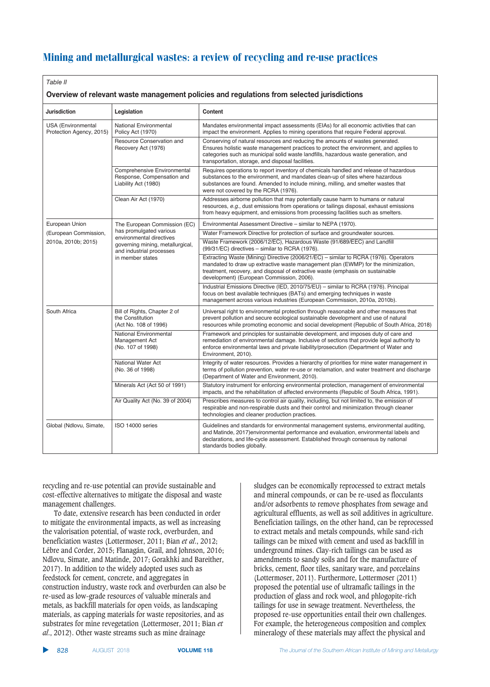| Table II<br>Overview of relevant waste management policies and regulations from selected jurisdictions |                                                                                   |                                                                                                                                                                                                                                                                                                                     |  |
|--------------------------------------------------------------------------------------------------------|-----------------------------------------------------------------------------------|---------------------------------------------------------------------------------------------------------------------------------------------------------------------------------------------------------------------------------------------------------------------------------------------------------------------|--|
| <b>Jurisdiction</b>                                                                                    | Legislation                                                                       | Content                                                                                                                                                                                                                                                                                                             |  |
| <b>USA</b> (Environmental<br>Protection Agency, 2015)                                                  | National Environmental<br>Policy Act (1970)                                       | Mandates environmental impact assessments (EIAs) for all economic activities that can<br>impact the environment. Applies to mining operations that require Federal approval.                                                                                                                                        |  |
|                                                                                                        | Resource Conservation and<br>Recovery Act (1976)                                  | Conserving of natural resources and reducing the amounts of wastes generated.<br>Ensures holistic waste management practices to protect the environment, and applies to<br>categories such as municipal solid waste landfills, hazardous waste generation, and<br>transportation, storage, and disposal facilities. |  |
|                                                                                                        | Comprehensive Environmental<br>Response, Compensation and<br>Liability Act (1980) | Requires operations to report inventory of chemicals handled and release of hazardous<br>substances to the environment, and mandates clean-up of sites where hazardous<br>substances are found. Amended to include mining, milling, and smelter wastes that<br>were not covered by the RCRA (1976).                 |  |
|                                                                                                        | Clean Air Act (1970)                                                              | Addresses airborne pollution that may potentially cause harm to humans or natural<br>resources, e.g., dust emissions from operations or tailings disposal, exhaust emissions<br>from heavy equipment, and emissions from processing facilities such as smelters.                                                    |  |
| European Union                                                                                         | The European Commission (EC)                                                      | Environmental Assessment Directive - similar to NEPA (1970).                                                                                                                                                                                                                                                        |  |
| (European Commission,                                                                                  | has promulgated various<br>environmental directives                               | Water Framework Directive for protection of surface and groundwater sources.                                                                                                                                                                                                                                        |  |
| 2010a, 2010b; 2015)                                                                                    | governing mining, metallurgical,<br>and industrial processes<br>in member states  | Waste Framework (2006/12/EC), Hazardous Waste (91/689/EEC) and Landfill<br>(99/31/EC) directives - similar to RCRA (1976).                                                                                                                                                                                          |  |
|                                                                                                        |                                                                                   | Extracting Waste (Mining) Directive (2006/21/EC) - similar to RCRA (1976). Operators<br>mandated to draw up extractive waste management plan (EWMP) for the minimization,<br>treatment, recovery, and disposal of extractive waste (emphasis on sustainable<br>development) (European Commission, 2006).            |  |
|                                                                                                        |                                                                                   | Industrial Emissions Directive (IED, 2010/75/EU) - similar to RCRA (1976). Principal<br>focus on best available techniques (BATs) and emerging techniques in waste<br>management across various industries (European Commission, 2010a, 2010b).                                                                     |  |
| South Africa                                                                                           | Bill of Rights, Chapter 2 of<br>the Constitution<br>(Act No. 108 of 1996)         | Universal right to environmental protection through reasonable and other measures that<br>prevent pollution and secure ecological sustainable development and use of natural<br>resources while promoting economic and social development (Republic of South Africa, 2018)                                          |  |
|                                                                                                        | National Environmental<br>Management Act<br>(No. 107 of 1998)                     | Framework and principles for sustainable development, and imposes duty of care and<br>remediation of environmental damage. Inclusive of sections that provide legal authority to<br>enforce environmental laws and private liability/prosecution (Department of Water and<br>Environment, 2010).                    |  |
|                                                                                                        | National Water Act<br>(No. 36 of 1998)                                            | Integrity of water resources. Provides a hierarchy of priorities for mine water management in<br>terms of pollution prevention, water re-use or reclamation, and water treatment and discharge<br>(Department of Water and Environment, 2010).                                                                      |  |
|                                                                                                        | Minerals Act (Act 50 of 1991)                                                     | Statutory instrument for enforcing environmental protection, management of environmental<br>impacts, and the rehabilitation of affected environments (Republic of South Africa, 1991).                                                                                                                              |  |
|                                                                                                        | Air Quality Act (No. 39 of 2004)                                                  | Prescribes measures to control air quality, including, but not limited to, the emission of<br>respirable and non-respirable dusts and their control and minimization through cleaner<br>technologies and cleaner production practices.                                                                              |  |
| Global (Ndlovu, Simate,                                                                                | ISO 14000 series                                                                  | Guidelines and standards for environmental management systems, environmental auditing,<br>and Matinde, 2017) environmental performance and evaluation, environmental labels and<br>declarations, and life-cycle assessment. Established through consensus by national<br>standards bodies globally.                 |  |

recycling and re-use potential can provide sustainable and cost-effective alternatives to mitigate the disposal and waste management challenges.

To date, extensive research has been conducted in order to mitigate the environmental impacts, as well as increasing the valorisation potential, of waste rock, overburden, and beneficiation wastes (Lottermoser, 2011; Bian *et al*., 2012; Lébre and Corder, 2015; Flanagán, Grail, and Johnson, 2016; Ndlovu, Simate, and Matinde, 2017; Gorakhki and Bareither, 2017). In addition to the widely adopted uses such as feedstock for cement, concrete, and aggregates in construction industry, waste rock and overburden can also be re-used as low-grade resources of valuable minerals and metals, as backfill materials for open voids, as landscaping materials, as capping materials for waste repositories, and as substrates for mine revegetation (Lottermoser, 2011; Bian *et al*., 2012). Other waste streams such as mine drainage

sludges can be economically reprocessed to extract metals and mineral compounds, or can be re-used as flocculants and/or adsorbents to remove phosphates from sewage and agricultural effluents, as well as soil additives in agriculture. Beneficiation tailings, on the other hand, can be reprocessed to extract metals and metals compounds, while sand-rich tailings can be mixed with cement and used as backfill in underground mines. Clay-rich tailings can be used as amendments to sandy soils and for the manufacture of bricks, cement, floor tiles, sanitary ware, and porcelains (Lottermoser, 2011). Furthermore, Lottermoser (2011) proposed the potential use of ultramafic tailings in the production of glass and rock wool, and phlogopite-rich tailings for use in sewage treatment. Nevertheless, the proposed re-use opportunities entail their own challenges. For example, the heterogeneous composition and complex mineralogy of these materials may affect the physical and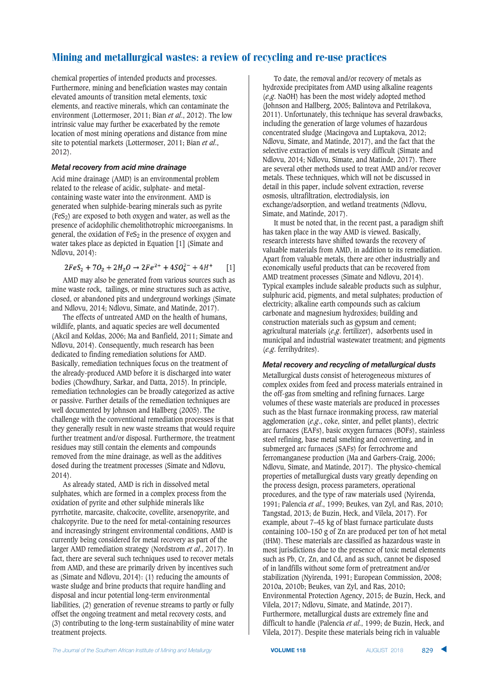chemical properties of intended products and processes. Furthermore, mining and beneficiation wastes may contain elevated amounts of transition metal elements, toxic elements, and reactive minerals, which can contaminate the environment (Lottermoser, 2011; Bian *et al*., 2012). The low intrinsic value may further be exacerbated by the remote location of most mining operations and distance from mine site to potential markets (Lottermoser, 2011; Bian *et al*., 2012).

#### Metal recovery from acid mine drainage

Acid mine drainage (AMD) is an environmental problem related to the release of acidic, sulphate- and metalcontaining waste water into the environment. AMD is generated when sulphide-bearing minerals such as pyrite  $(Fes<sub>2</sub>)$  are exposed to both oxygen and water, as well as the presence of acidophilic chemolithotrophic microorganisms. In general, the oxidation of  $F \in S_2$  in the presence of oxygen and water takes place as depicted in Equation [1] (Simate and Ndlovu, 2014):

$$
2FeS_2 + 7O_2 + 2H_2O \rightarrow 2Fe^{2+} + 4SO_4^{2-} + 4H^+ \qquad [1]
$$

AMD may also be generated from various sources such as mine waste rock, tailings, or mine structures such as active, closed, or abandoned pits and underground workings (Simate and Ndlovu, 2014; Ndlovu, Simate, and Matinde, 2017).

The effects of untreated AMD on the health of humans, wildlife, plants, and aquatic species are well documented (Akcil and Koldas, 2006; Ma and Banfield, 2011; Simate and Ndlovu, 2014). Consequently, much research has been dedicated to finding remediation solutions for AMD. Basically, remediation techniques focus on the treatment of the already-produced AMD before it is discharged into water bodies (Chowdhury, Sarkar, and Datta, 2015). In principle, remediation technologies can be broadly categorized as active or passive. Further details of the remediation techniques are well documented by Johnson and Hallberg (2005). The challenge with the conventional remediation processes is that they generally result in new waste streams that would require further treatment and/or disposal. Furthermore, the treatment residues may still contain the elements and compounds removed from the mine drainage, as well as the additives dosed during the treatment processes (Simate and Ndlovu, 2014).

As already stated, AMD is rich in dissolved metal sulphates, which are formed in a complex process from the oxidation of pyrite and other sulphide minerals like pyrrhotite, marcasite, chalcocite, covellite, arsenopyrite, and chalcopyrite. Due to the need for metal-containing resources and increasingly stringent environmental conditions, AMD is currently being considered for metal recovery as part of the larger AMD remediation strategy (Nordstrom *et al*., 2017). In fact, there are several such techniques used to recover metals from AMD, and these are primarily driven by incentives such as (Simate and Ndlovu, 2014): (1) reducing the amounts of waste sludge and brine products that require handling and disposal and incur potential long-term environmental liabilities, (2) generation of revenue streams to partly or fully offset the ongoing treatment and metal recovery costs, and (3) contributing to the long-term sustainability of mine water treatment projects.

To date, the removal and/or recovery of metals as hydroxide precipitates from AMD using alkaline reagents (*e.g*. NaOH) has been the most widely adopted method (Johnson and Hallberg, 2005; Balintova and Petrilakova, 2011). Unfortunately, this technique has several drawbacks, including the generation of large volumes of hazardous concentrated sludge (Macingova and Luptakova, 2012; Ndlovu, Simate, and Matinde, 2017), and the fact that the selective extraction of metals is very difficult (Simate and Ndlovu, 2014; Ndlovu, Simate, and Matinde, 2017). There are several other methods used to treat AMD and/or recover metals. These techniques, which will not be discussed in detail in this paper, include solvent extraction, reverse osmosis, ultrafiltration, electrodialysis, ion exchange/adsorption, and wetland treatments (Ndlovu, Simate, and Matinde, 2017).

It must be noted that, in the recent past, a paradigm shift has taken place in the way AMD is viewed. Basically, research interests have shifted towards the recovery of valuable materials from AMD, in addition to its remediation. Apart from valuable metals, there are other industrially and economically useful products that can be recovered from AMD treatment processes (Simate and Ndlovu, 2014). Typical examples include saleable products such as sulphur, sulphuric acid, pigments, and metal sulphates; production of electricity; alkaline earth compounds such as calcium carbonate and magnesium hydroxides; building and construction materials such as gypsum and cement; agricultural materials (*e.g*. fertilizer), adsorbents used in municipal and industrial wastewater treatment; and pigments (*e.g*. ferrihydrites).

#### *Metal recovery and recycling of metallurgical dusts*

Metallurgical dusts consist of heterogeneous mixtures of complex oxides from feed and process materials entrained in the off-gas from smelting and refining furnaces. Large volumes of these waste materials are produced in processes such as the blast furnace ironmaking process, raw material agglomeration (*e.g*., coke, sinter, and pellet plants), electric arc furnaces (EAFs), basic oxygen furnaces (BOFs), stainless steel refining, base metal smelting and converting, and in submerged arc furnaces (SAFs) for ferrochrome and ferromanganese production (Ma and Garbers-Craig, 2006; Ndlovu, Simate, and Matinde, 2017). The physico-chemical properties of metallurgical dusts vary greatly depending on the process design, process parameters, operational procedures, and the type of raw materials used (Nyirenda, 1991; Palencia *et al*., 1999; Beukes, van Zyl, and Ras, 2010; Tangstad, 2013; de Buzin, Heck, and Vilela, 2017). For example, about 7–45 kg of blast furnace particulate dusts containing 100–150 g of Zn are produced per ton of hot metal (tHM). These materials are classified as hazardous waste in most jurisdictions due to the presence of toxic metal elements such as Pb, Cr, Zn, and Cd, and as such, cannot be disposed of in landfills without some form of pretreatment and/or stabilization (Nyirenda, 1991; European Commission, 2008; 2010a, 2010b; Beukes, van Zyl, and Ras, 2010; Environmental Protection Agency, 2015; de Buzin, Heck, and Vilela, 2017; Ndlovu, Simate, and Matinde, 2017). Furthermore, metallurgical dusts are extremely fine and difficult to handle (Palencia *et al*., 1999; de Buzin, Heck, and Vilela, 2017). Despite these materials being rich in valuable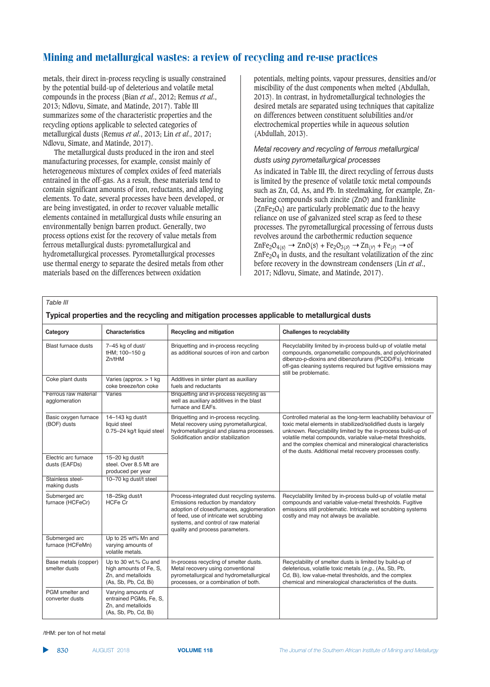metals, their direct in-process recycling is usually constrained by the potential build-up of deleterious and volatile metal compounds in the process (Bian *et al*., 2012; Remus *et al*., 2013; Ndlovu, Simate, and Matinde, 2017). Table III summarizes some of the characteristic properties and the recycling options applicable to selected categories of metallurgical dusts (Remus *et al*., 2013; Lin *et al*., 2017; Ndlovu, Simate, and Matinde, 2017).

The metallurgical dusts produced in the iron and steel manufacturing processes, for example, consist mainly of heterogeneous mixtures of complex oxides of feed materials entrained in the off-gas. As a result, these materials tend to contain significant amounts of iron, reductants, and alloying elements. To date, several processes have been developed, or are being investigated, in order to recover valuable metallic elements contained in metallurgical dusts while ensuring an environmentally benign barren product. Generally, two process options exist for the recovery of value metals from ferrous metallurgical dusts: pyrometallurgical and hydrometallurgical processes. Pyrometallurgical processes use thermal energy to separate the desired metals from other materials based on the differences between oxidation

potentials, melting points, vapour pressures, densities and/or miscibility of the dust components when melted (Abdullah, 2013). In contrast, in hydrometallurgical technologies the desired metals are separated using techniques that capitalize on differences between constituent solubilities and/or electrochemical properties while in aqueous solution (Abdullah, 2013).

# Metal recovery and recycling of ferrous metallurgical

*dusts using pyrometallurgical processes* 

As indicated in Table III, the direct recycling of ferrous dusts is limited by the presence of volatile toxic metal compounds such as Zn, Cd, As, and Pb. In steelmaking, for example, Znbearing compounds such zincite (ZnO) and franklinite  $(ZnFe<sub>2</sub>O<sub>4</sub>)$  are particularly problematic due to the heavy reliance on use of galvanized steel scrap as feed to these processes. The pyrometallurgical processing of ferrous dusts revolves around the carbothermic reduction sequence  $\text{ZnFe}_2\text{O}_{4(s)} \rightarrow \text{ZnO}(s) + \text{Fe}_2\text{O}_{3(s)} \rightarrow \text{Zn}_{(\nu)} + \text{Fe}_{(s)} \rightarrow \text{of}$  $ZnFe<sub>2</sub>O<sub>4</sub>$  in dusts, and the resultant volatilization of the zinc before recovery in the downstream condensers (Lin *et al*., 2017; Ndlovu, Simate, and Matinde, 2017).

*Table III*

| Category                              | <b>Characteristics</b>                                                                       | <b>Recycling and mitigation</b>                                                                                                                                                                                                                   | <b>Challenges to recyclability</b>                                                                                                                                                                                                                                                                                                                                                        |  |
|---------------------------------------|----------------------------------------------------------------------------------------------|---------------------------------------------------------------------------------------------------------------------------------------------------------------------------------------------------------------------------------------------------|-------------------------------------------------------------------------------------------------------------------------------------------------------------------------------------------------------------------------------------------------------------------------------------------------------------------------------------------------------------------------------------------|--|
| <b>Blast furnace dusts</b>            | 7-45 kg of dust/<br>tHM; 100-150 g<br>Zn/tHM                                                 | Briquetting and in-process recycling<br>as additional sources of iron and carbon                                                                                                                                                                  | Recyclability limited by in-process build-up of volatile metal<br>compounds, organometallic compounds, and polychlorinated<br>dibenzo-p-dioxins and dibenzofurans (PCDD/Fs). Intricate<br>off-gas cleaning systems required but fugitive emissions may<br>still be problematic.                                                                                                           |  |
| Coke plant dusts                      | Varies (approx. $> 1$ kg<br>coke breeze/ton coke                                             | Additives in sinter plant as auxiliary<br>fuels and reductants                                                                                                                                                                                    |                                                                                                                                                                                                                                                                                                                                                                                           |  |
| Ferrous raw material<br>agglomeration | Varies                                                                                       | Briquetting and in-process recycling as<br>well as auxiliary additives in the blast<br>furnace and EAFs.                                                                                                                                          |                                                                                                                                                                                                                                                                                                                                                                                           |  |
| Basic oxygen furnace<br>(BOF) dusts   | 14-143 kg dust/t<br>liquid steel<br>0.75-24 kg/t liquid steel                                | Briquetting and in-process recycling.<br>Metal recovery using pyrometallurgical,<br>hydrometallurgical and plasma processes.<br>Solidification and/or stabilization                                                                               | Controlled material as the long-term leachability behaviour of<br>toxic metal elements in stabilized/solidified dusts is largely<br>unknown. Recyclability limited by the in-process build-up of<br>volatile metal compounds, variable value-metal thresholds,<br>and the complex chemical and mineralogical characteristics<br>of the dusts. Additional metal recovery processes costly. |  |
| Electric arc furnace<br>dusts (EAFDs) | 15-20 kg dust/t<br>steel. Over 8.5 Mt are<br>produced per year                               |                                                                                                                                                                                                                                                   |                                                                                                                                                                                                                                                                                                                                                                                           |  |
| Stainless steel-<br>making dusts      | 10-70 kg dust/t steel                                                                        |                                                                                                                                                                                                                                                   |                                                                                                                                                                                                                                                                                                                                                                                           |  |
| Submerged arc<br>furnace (HCFeCr)     | 18-25kg dust/t<br><b>HCFe Cr</b>                                                             | Process-integrated dust recycling systems.<br>Emissions reduction by mandatory<br>adoption of closedfurnaces, agglomeration<br>of feed, use of intricate wet scrubbing<br>systems, and control of raw material<br>quality and process parameters. | Recyclability limited by in-process build-up of volatile metal<br>compounds and variable value-metal thresholds. Fugitive<br>emissions still problematic. Intricate wet scrubbing systems<br>costly and may not always be available.                                                                                                                                                      |  |
| Submerged arc<br>furnace (HCFeMn)     | Up to 25 wt% Mn and<br>varying amounts of<br>volatile metals.                                |                                                                                                                                                                                                                                                   |                                                                                                                                                                                                                                                                                                                                                                                           |  |
| Base metals (copper)<br>smelter dusts | Up to 30 wt.% Cu and<br>high amounts of Fe, S,<br>Zn, and metalloids<br>(As, Sb, Pb, Cd, Bi) | In-process recycling of smelter dusts.<br>Metal recovery using conventional<br>pyrometallurgical and hydrometallurgical<br>processes, or a combination of both.                                                                                   | Recyclability of smelter dusts is limited by build-up of<br>deleterious, volatile toxic metals (e.g., (As, Sb, Pb,<br>Cd, Bi), low value-metal thresholds, and the complex<br>chemical and mineralogical characteristics of the dusts.                                                                                                                                                    |  |
| PGM smelter and<br>converter dusts    | Varying amounts of<br>entrained PGMs, Fe, S,<br>Zn, and metalloids<br>(As, Sb, Pb, Cd, Bi)   |                                                                                                                                                                                                                                                   |                                                                                                                                                                                                                                                                                                                                                                                           |  |

Typical properties and the recycling and mitigation processes applicable to metallurgical dusts

/tHM: per ton of hot metal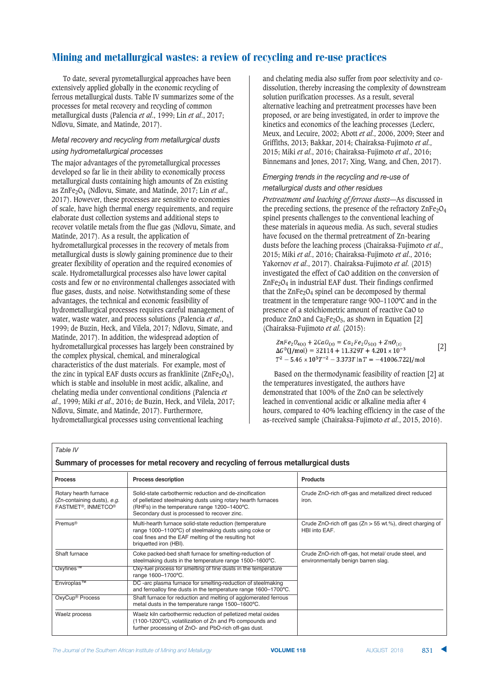To date, several pyrometallurgical approaches have been extensively applied globally in the economic recycling of ferrous metallurgical dusts. Table IV summarizes some of the processes for metal recovery and recycling of common metallurgical dusts (Palencia *et al*., 1999; Lin *et al*., 2017; Ndlovu, Simate, and Matinde, 2017).

### *Metal recovery and recycling from metallurgical dusts*

The major advantages of the pyrometallurgical processes developed so far lie in their ability to economically process metallurgical dusts containing high amounts of Zn existing as ZnFe2O4 (Ndlovu, Simate, and Matinde, 2017; Lin *et al*., 2017). However, these processes are sensitive to economies of scale, have high thermal energy requirements, and require elaborate dust collection systems and additional steps to recover volatile metals from the flue gas (Ndlovu, Simate, and Matinde, 2017). As a result, the application of hydrometallurgical processes in the recovery of metals from metallurgical dusts is slowly gaining prominence due to their greater flexibility of operation and the required economies of scale. Hydrometallurgical processes also have lower capital costs and few or no environmental challenges associated with flue gases, dusts, and noise. Notwithstanding some of these advantages, the technical and economic feasibility of hydrometallurgical processes requires careful management of water, waste water, and process solutions (Palencia *et al*., 1999; de Buzin, Heck, and Vilela, 2017; Ndlovu, Simate, and Matinde, 2017). In addition, the widespread adoption of hydrometallurgical processes has largely been constrained by the complex physical, chemical, and mineralogical characteristics of the dust materials. For example, most of the zinc in typical EAF dusts occurs as franklinite  $(ZnFe<sub>2</sub>O<sub>4</sub>)$ , which is stable and insoluble in most acidic, alkaline, and chelating media under conventional conditions (Palencia *et al*., 1999; Miki *et al*., 2016; de Buzin, Heck, and Vilela, 2017; Ndlovu, Simate, and Matinde, 2017). Furthermore, hydrometallurgical processes using conventional leaching

and chelating media also suffer from poor selectivity and codissolution, thereby increasing the complexity of downstream solution purification processes. As a result, several alternative leaching and pretreatment processes have been proposed, or are being investigated, in order to improve the kinetics and economics of the leaching processes (Leclerc, Meux, and Lecuire, 2002; Abott *et al*., 2006, 2009; Steer and Griffiths, 2013; Bakkar, 2014; Chairaksa-Fujimoto *et al*., 2015; Miki *et al*., 2016; Chairaksa-Fujimoto *et al*., 2016; Binnemans and Jones, 2017; Xing, Wang, and Chen, 2017).

### *Emerging trends in the recycling and re-use of* metallurgical dusts and other residues

*Pretreatment and leaching of ferrous dusts*—As discussed in the preceding sections, the presence of the refractory  $\text{ZnFe}_2\text{O}_4$ spinel presents challenges to the conventional leaching of these materials in aqueous media. As such, several studies have focused on the thermal pretreatment of Zn-bearing dusts before the leaching process (Chairaksa-Fujimoto *et al*., 2015; Miki *et al*., 2016; Chairaksa-Fujimoto *et al*., 2016; Yakornov *et al*., 2017). Chairaksa-Fujimoto *et al*. (2015) investigated the effect of CaO addition on the conversion of  $ZnFe<sub>2</sub>O<sub>4</sub>$  in industrial EAF dust. Their findings confirmed that the  $\text{ZnFe}_2\text{O}_4$  spinel can be decomposed by thermal treatment in the temperature range 900–1100ºC and in the presence of a stoichiometric amount of reactive CaO to produce ZnO and  $Ca<sub>2</sub>Fe<sub>2</sub>O<sub>5</sub>$ , as shown in Equation [2] (Chairaksa-Fujimoto *et al*. (2015):

 $ZnFe_2O_{4(s)} + 2CaO_{(s)} = Ca_2Fe_2O_{5(s)} + ZnO_{(s)}$ <br> $\Delta G^0$ (J/mol) = 32114 + 11.3297 + 4.201 x 10<sup>-3</sup> [2]  $T^2 - 5.46 \times 10^5 T^{-2} - 3.373T \ln T = -41006.722$ ]/mol

Based on the thermodynamic feasibility of reaction [2] at the temperatures investigated, the authors have demonstrated that 100% of the ZnO can be selectively leached in conventional acidic or alkaline media after 4 hours, compared to 40% leaching efficiency in the case of the as-received sample (Chairaksa-Fujimoto *et al*., 2015, 2016).

*Table IV*

#### Summary of processes for metal recovery and recycling of ferrous metallurgical dusts

| <b>Process</b>                                                             | <b>Process description</b>                                                                                                                                                                                              | <b>Products</b>                                                                            |  |  |
|----------------------------------------------------------------------------|-------------------------------------------------------------------------------------------------------------------------------------------------------------------------------------------------------------------------|--------------------------------------------------------------------------------------------|--|--|
| Rotary hearth furnace<br>(Zn-containing dusts), e.g.<br>FASTMET®, INMETCO® | Solid-state carbothermic reduction and de-zincification<br>of pelletized steelmaking dusts using rotary hearth furnaces<br>(RHFs) in the temperature range 1200-1400°C.<br>Secondary dust is processed to recover zinc. | Crude ZnO-rich off-gas and metallized direct reduced<br>iron.                              |  |  |
| Premus <sup>®</sup>                                                        | Multi-hearth furnace solid-state reduction (temperature<br>range 1000-1100°C) of steelmaking dusts using coke or<br>coal fines and the EAF melting of the resulting hot<br>briquetted iron (HBI).                       | Crude ZnO-rich off gas $(Zn > 55$ wt.%), direct charging of<br>HBI into EAF.               |  |  |
| Shaft furnace                                                              | Coke packed-bed shaft furnace for smelting-reduction of<br>steelmaking dusts in the temperature range 1500-1600°C.                                                                                                      | Crude ZnO-rich off-gas, hot metal/ crude steel, and<br>environmentally benign barren slag. |  |  |
| Oxyfines™                                                                  | Oxy-fuel process for smelting of fine dusts in the temperature<br>range 1600-1700°C.                                                                                                                                    |                                                                                            |  |  |
| Enviroplas™                                                                | DC -arc plasma furnace for smelting-reduction of steelmaking<br>and ferroalloy fine dusts in the temperature range 1600-1700°C.                                                                                         |                                                                                            |  |  |
| OxyCup <sup>®</sup> Process                                                | Shaft furnace for reduction and melting of agglomerated ferrous<br>metal dusts in the temperature range 1500-1600°C.                                                                                                    |                                                                                            |  |  |
| Waelz process                                                              | Waelz kiln carbothermic reduction of pelletized metal oxides<br>(1100-1200°C), volatilization of Zn and Pb compounds and<br>further processing of ZnO- and PbO-rich off-gas dust.                                       |                                                                                            |  |  |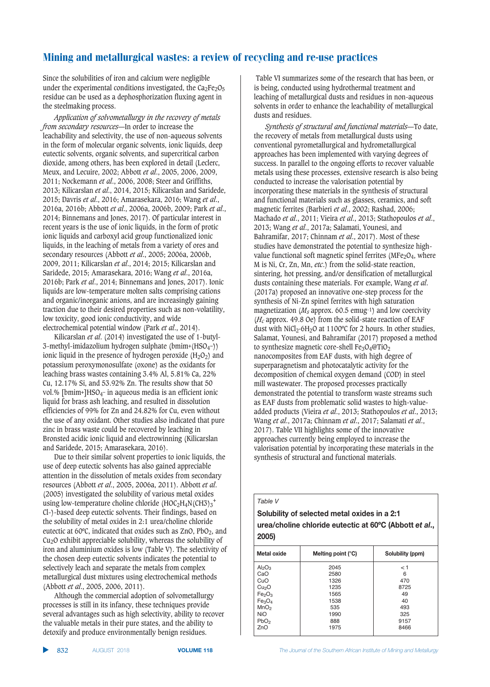Since the solubilities of iron and calcium were negligible under the experimental conditions investigated, the  $Ca<sub>2</sub>Fe<sub>2</sub>O<sub>5</sub>$ residue can be used as a dephosphorization fluxing agent in the steelmaking process.

*Application of solvometallurgy in the recovery of metals from secondary resources*—In order to increase the leachability and selectivity, the use of non-aqueous solvents in the form of molecular organic solvents, ionic liquids, deep eutectic solvents, organic solvents, and supercritical carbon dioxide, among others, has been explored in detail (Leclerc, Meux, and Lecuire, 2002; Abbott *et al*., 2005, 2006, 2009, 2011; Nockemann *et al*., 2006, 2008; Steer and Griffiths, 2013; Kilicarslan *et al*., 2014, 2015; Kilicarslan and Saridede, 2015; Davris *et al*., 2016; Amarasekara, 2016; Wang *et al*., 2016a, 2016b; Abbott *et al*., 2006a, 2006b, 2009; Park *et al*., 2014; Binnemans and Jones, 2017). Of particular interest in recent years is the use of ionic liquids, in the form of protic ionic liquids and carboxyl acid group functionalized ionic liquids, in the leaching of metals from a variety of ores and secondary resources (Abbott *et al*., 2005; 2006a, 2006b, 2009, 2011; Kilicarslan *et al*., 2014; 2015; Kilicarslan and Saridede, 2015; Amarasekara, 2016; Wang *et al*., 2016a, 2016b; Park *et al*., 2014; Binnemans and Jones, 2017). Ionic liquids are low-temperature molten salts comprising cations and organic/inorganic anions, and are increasingly gaining traction due to their desired properties such as non-volatility, low toxicity, good ionic conductivity, and wide electrochemical potential window (Park *et al*., 2014).

Kilicarslan *et al*. (2014) investigated the use of 1-butyl-3-methyl-imidazolium hydrogen sulphate (bmim+(HSO4−)) ionic liquid in the presence of hydrogen peroxide  $(H_2O_2)$  and potassium peroxymonosulfate (oxone) as the oxidants for leaching brass wastes containing 3.4% Al, 5.81% Ca, 22% Cu, 12.17% Si, and 53.92% Zn. The results show that 50 vol.% [bmim+]HSO<sub>4</sub>- in aqueous media is an efficient ionic liquid for brass ash leaching, and resulted in dissolution efficiencies of 99% for Zn and 24.82% for Cu, even without the use of any oxidant. Other studies also indicated that pure zinc in brass waste could be recovered by leaching in Bronsted acidic ionic liquid and electrowinning (Kilicarslan and Saridede, 2015; Amarasekara, 2016).

Due to their similar solvent properties to ionic liquids, the use of deep eutectic solvents has also gained appreciable attention in the dissolution of metals oxides from secondary resources (Abbott *et al*., 2005, 2006a, 2011). Abbott *et al*. (2005) investigated the solubility of various metal oxides using low-temperature choline chloride (HOC<sub>2</sub>H<sub>4</sub>N(CH3)<sub>3</sub><sup>+</sup> Cl-)-based deep eutectic solvents. Their findings, based on the solubility of metal oxides in 2:1 urea/choline chloride eutectic at 60 $\degree$ C, indicated that oxides such as ZnO, PbO<sub>2</sub>, and Cu2O exhibit appreciable solubility, whereas the solubility of iron and aluminium oxides is low (Table V). The selectivity of the chosen deep eutectic solvents indicates the potential to selectively leach and separate the metals from complex metallurgical dust mixtures using electrochemical methods (Abbott *et al*., 2005, 2006, 2011).

Although the commercial adoption of solvometallurgy processes is still in its infancy, these techniques provide several advantages such as high selectivity, ability to recover the valuable metals in their pure states, and the ability to detoxify and produce environmentally benign residues.

Table VI summarizes some of the research that has been, or is being, conducted using hydrothermal treatment and leaching of metallurgical dusts and residues in non-aqueous solvents in order to enhance the leachability of metallurgical dusts and residues.

*Synthesis of structural and functional materials*—To date, the recovery of metals from metallurgical dusts using conventional pyrometallurgical and hydrometallurgical approaches has been implemented with varying degrees of success. In parallel to the ongoing efforts to recover valuable metals using these processes, extensive research is also being conducted to increase the valorisation potential by incorporating these materials in the synthesis of structural and functional materials such as glasses, ceramics, and soft magnetic ferrites (Barbieri *et al*., 2002; Rashad, 2006; Machado *et al*., 2011; Vieira *et al*., 2013; Stathopoulos *et al*., 2013; Wang *et al*., 2017a; Salamati, Younesi, and Bahramifar, 2017; Chinnam *et al*., 2017). Most of these studies have demonstrated the potential to synthesize highvalue functional soft magnetic spinel ferrites ( $MFe<sub>2</sub>O<sub>4</sub>$ , where M is Ni, Cr, Zn, Mn, *etc*.) from the solid-state reaction, sintering, hot pressing, and/or densification of metallurgical dusts containing these materials. For example, Wang *et al*. (2017a) proposed an innovative one-step process for the synthesis of Ni-Zn spinel ferrites with high saturation magnetization ( $M_s$  approx. 60.5 emug-1) and low coercivity (*Hc* approx. 49.8 Oe) from the solid-state reaction of EAF dust with  $NiCl<sub>2</sub>·6H<sub>2</sub>O$  at 1100°C for 2 hours. In other studies, Salamat, Younesi, and Bahramifar (2017) proposed a method to synthesize magnetic core-shell  $Fe<sub>3</sub>O<sub>4</sub>@TiO<sub>2</sub>$ nanocomposites from EAF dusts, with high degree of superparagnetism and photocatalytic activity for the decomposition of chemical oxygen demand (COD) in steel mill wastewater. The proposed processes practically demonstrated the potential to transform waste streams such as EAF dusts from problematic solid wastes to high-valueadded products (Vieira *et al*., 2013; Stathopoulos *et al*., 2013; Wang *et al*., 2017a; Chinnam *et al*., 2017; Salamati *et al*., 2017). Table VII highlights some of the innovative approaches currently being employed to increase the valorisation potential by incorporating these materials in the synthesis of structural and functional materials.

#### *Table V*

### **Solubility of selected metal oxides in a 2:1 18.8** urea/choline chloride eutectic at 60°C (Abbott et al., **2005)**

| <b>Metal oxide</b>             | Melting point $(°C)$ | Solubility (ppm) |  |
|--------------------------------|----------------------|------------------|--|
| Al <sub>2</sub> O <sub>3</sub> | 2045                 | < 1              |  |
| CaO                            | 2580                 | 6                |  |
| CuO                            | 1326                 | 470              |  |
| Cu <sub>2</sub> O              | 1235                 | 8725             |  |
| Fe <sub>2</sub> O <sub>3</sub> | 1565                 | 49               |  |
| Fe <sub>3</sub> O <sub>4</sub> | 1538                 | 40               |  |
| MnO <sub>2</sub>               | 535                  | 493              |  |
| <b>NiO</b>                     | 1990                 | 325              |  |
| PbO <sub>2</sub>               | 888                  | 9157             |  |
| ZnO                            | 1975                 | 8466             |  |
|                                |                      |                  |  |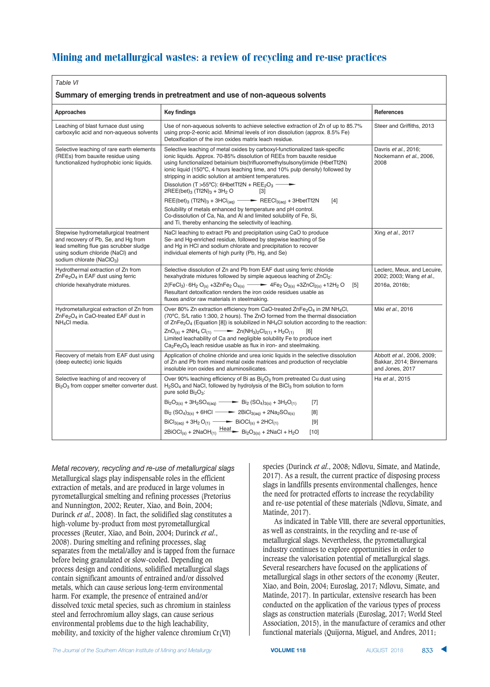|   | ı. |  |
|---|----|--|
| × | ×  |  |

| Summary of emerging trends in pretreatment and use of non-aqueous solvents                                                                                                                          |                                                                                                                                                                                                                                                                                                                                                                                                                                                                                                                                         |                                                                          |  |  |
|-----------------------------------------------------------------------------------------------------------------------------------------------------------------------------------------------------|-----------------------------------------------------------------------------------------------------------------------------------------------------------------------------------------------------------------------------------------------------------------------------------------------------------------------------------------------------------------------------------------------------------------------------------------------------------------------------------------------------------------------------------------|--------------------------------------------------------------------------|--|--|
| Approaches                                                                                                                                                                                          | <b>Key findings</b>                                                                                                                                                                                                                                                                                                                                                                                                                                                                                                                     | <b>References</b>                                                        |  |  |
| Leaching of blast furnace dust using<br>carboxylic acid and non-aqueous solvents                                                                                                                    | Use of non-aqueous solvents to achieve selective extraction of Zn of up to 85.7%<br>using prop-2-eonic acid. Minimal levels of iron dissolution (approx. 8.5% Fe)<br>Detoxification of the iron oxides matrix leach residue.                                                                                                                                                                                                                                                                                                            | Steer and Griffiths, 2013                                                |  |  |
| Selective leaching of rare earth elements<br>(REEs) from bauxite residue using<br>functionalized hydrophobic ionic liquids.                                                                         | Selective leaching of metal oxides by carboxyl-functionalized task-specific<br>ionic liquids. Approx. 70-85% dissolution of REEs from bauxite residue<br>using functionalized betainium bis(trifluoromethylsulsonyl)imide (HbetTf2N)<br>ionic liquid (150°C, 4 hours leaching time, and 10% pulp density) followed by<br>stripping in acidic solution at ambient temperatures.<br>Dissolution (T > 55°C): 6HbetTf2N + REE <sub>2</sub> O <sub>3</sub> -<br>$2REE(bet)_{3}$ (Tf2N) <sub>3</sub> + 3H <sub>2</sub> O<br>$\lceil 3 \rceil$ | Davris et al., 2016;<br>Nockemann et al., 2006,<br>2008                  |  |  |
|                                                                                                                                                                                                     | $REE(bet)_3$ (Tf2N) <sub>3</sub> + 3HCl <sub>(aq)</sub> $\longrightarrow$ REECl <sub>3(aq)</sub> + 3HbetTf2N<br>$[4]$<br>Solubility of metals enhanced by temperature and pH control.<br>Co-dissolution of Ca, Na, and Al and limited solubility of Fe, Si,<br>and Ti, thereby enhancing the selectivity of leaching.                                                                                                                                                                                                                   |                                                                          |  |  |
| Stepwise hydrometallurgical treatment<br>and recovery of Pb, Se, and Hg from<br>lead smelting flue gas scrubber sludge<br>using sodium chloride (NaCl) and<br>sodium chlorate (NaClO <sub>3</sub> ) | NaCl leaching to extract Pb and precipitation using CaO to produce<br>Se- and Hg-enriched residue, followed by stepwise leaching of Se<br>and Hg in HCI and sodium chlorate and precipitation to recover<br>individual elements of high purity (Pb, Hg, and Se)                                                                                                                                                                                                                                                                         | Xing et al., 2017                                                        |  |  |
| Hydrothermal extraction of Zn from<br>ZnFe <sub>2</sub> O <sub>4</sub> in EAF dust using ferric                                                                                                     | Selective dissolution of Zn and Pb from EAF dust using ferric chloride<br>hexahydrate mixtures followed by simple aqueous leaching of ZnCl <sub>2</sub> :                                                                                                                                                                                                                                                                                                                                                                               | Leclerc, Meux, and Lecuire,<br>2002; 2003; Wang et al.,                  |  |  |
| chloride hexahydrate mixtures.                                                                                                                                                                      | $2(FeCl_3) \cdot 6H_2 O_{(s)} + 3ZnFe_2 O_{4(s)} \longrightarrow 4Fe_2 O_{3(s)} + 3ZnCl_{2(s)} + 12H_2 O$<br>[5]<br>Resultant detoxification renders the iron oxide residues usable as<br>fluxes and/or raw materials in steelmaking.                                                                                                                                                                                                                                                                                                   | 2016a, 2016b;                                                            |  |  |
| Hydrometallurgical extraction of Zn from<br>ZnFe <sub>2</sub> O <sub>4</sub> in CaO-treated EAF dust in<br>NH <sub>4</sub> Cl media.                                                                | Over 80% Zn extraction efficiency from CaO-treated ZnFe <sub>2</sub> O <sub>4</sub> in 2M NH <sub>4</sub> Cl,<br>(70°C, S/L ratio 1:300, 2 hours). The ZnO formed from the thermal dissociation<br>of $\text{ZnFe}_2\text{O}_4$ (Equation [8]) is solubilized in NH <sub>4</sub> Cl solution according to the reaction:                                                                                                                                                                                                                 | Miki et al., 2016                                                        |  |  |
|                                                                                                                                                                                                     | $ZnO_{(s)} + 2NH_4 Gl_{(1)} \longrightarrow Zn(NH_3) \cdot 2Cl_{2(1)} + H_2O_{(1)}$<br>[6]<br>Limited leachability of Ca and negligible solubility Fe to produce inert<br>$Ca2Fe2O5$ leach residue usable as flux in iron- and steelmaking.                                                                                                                                                                                                                                                                                             |                                                                          |  |  |
| Recovery of metals from EAF dust using<br>(deep eutectic) ionic liquids                                                                                                                             | Application of choline chloride and urea ionic liquids in the selective dissolution<br>of Zn and Pb from mixed metal oxide matrices and production of recyclable<br>insoluble iron oxides and aluminosilicates.                                                                                                                                                                                                                                                                                                                         | Abbott et al., 2006, 2009;<br>Bakkar, 2014; Binnemans<br>and Jones, 2017 |  |  |
| Selective leaching of and recovery of<br>$Bi2O3$ from copper smelter converter dust.                                                                                                                | Over 90% leaching efficiency of Bi as Bi <sub>2</sub> O <sub>3</sub> from pretreated Cu dust using<br>$H2SO4$ and NaCl, followed by hydrolysis of the BiCl <sub>3</sub> from solution to form<br>pure solid Bi <sub>2</sub> O <sub>3</sub> :                                                                                                                                                                                                                                                                                            | Ha et al., 2015                                                          |  |  |
|                                                                                                                                                                                                     | $Bi_2O_{3(s)} + 3H_2SO_{4(aq)} \longrightarrow Bi_2(SO_4)_{3(s)} + 3H_2O_{(1)}$<br>$[7]$                                                                                                                                                                                                                                                                                                                                                                                                                                                |                                                                          |  |  |
|                                                                                                                                                                                                     | $Bi_2(SO_4)_{3(s)} + 6HCl \longrightarrow 2BiCl_{3(aq)} + 2Na_2SO_{4(s)}$<br>[8]                                                                                                                                                                                                                                                                                                                                                                                                                                                        |                                                                          |  |  |
|                                                                                                                                                                                                     | $BiCl_{3(aq)} + 3H_2O_{(1)} \longrightarrow BiOCl_{(s)} + 2HCl_{(1)}$<br>$[9]$                                                                                                                                                                                                                                                                                                                                                                                                                                                          |                                                                          |  |  |
|                                                                                                                                                                                                     | $2BIOCI_{(s)} + 2NaOH_{(1)} \xrightarrow{Heat}$ Bi <sub>2</sub> O <sub>3(s)</sub> + 2NaCl + H <sub>2</sub> O<br>$[10]$                                                                                                                                                                                                                                                                                                                                                                                                                  |                                                                          |  |  |

*Metal recovery, recycling and re-use of metallurgical slags* Metallurgical slags play indispensable roles in the efficient extraction of metals, and are produced in large volumes in pyrometallurgical smelting and refining processes (Pretorius and Nunnington, 2002; Reuter, Xiao, and Boin, 2004; Durinck *et al*., 2008). In fact, the solidified slag constitutes a high-volume by-product from most pyrometallurgical processes (Reuter, Xiao, and Boin, 2004; Durinck *et al*., 2008). During smelting and refining processes, slag separates from the metal/alloy and is tapped from the furnace before being granulated or slow-cooled. Depending on process design and conditions, solidified metallurgical slags contain significant amounts of entrained and/or dissolved metals, which can cause serious long-term environmental harm. For example, the presence of entrained and/or dissolved toxic metal species, such as chromium in stainless steel and ferrochromium alloy slags, can cause serious environmental problems due to the high leachability, mobility, and toxicity of the higher valence chromium Cr(VI)

species (Durinck *et al*., 2008; Ndlovu, Simate, and Matinde, 2017). As a result, the current practice of disposing process slags in landfills presents environmental challenges, hence the need for protracted efforts to increase the recyclability and re-use potential of these materials (Ndlovu, Simate, and Matinde, 2017).

As indicated in Table VIII, there are several opportunities, as well as constraints, in the recycling and re-use of metallurgical slags. Nevertheless, the pyrometallurgical industry continues to explore opportunities in order to increase the valorisation potential of metallurgical slags. Several researchers have focused on the applications of metallurgical slags in other sectors of the economy (Reuter, Xiao, and Boin, 2004; Euroslag, 2017; Ndlovu, Simate, and Matinde, 2017). In particular, extensive research has been conducted on the application of the various types of process slags as construction materials (Euroslag, 2017; World Steel Association, 2015), in the manufacture of ceramics and other functional materials (Quijorna, Miguel, and Andres, 2011;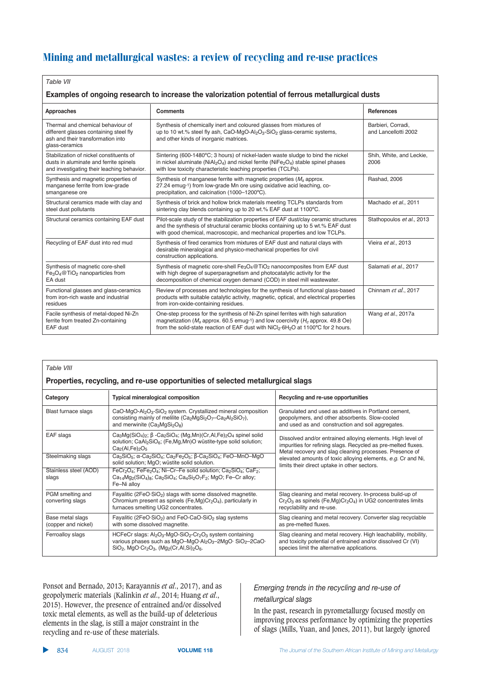#### *Table VII*

#### Examples of ongoing research to increase the valorization potential of ferrous metallurgical dusts

| Approaches                                                                                                                                                                                                                                                                                                                                                                                  | <b>Comments</b>                                                                                                                                                                                                                                                                                 | <b>References</b>                          |  |  |
|---------------------------------------------------------------------------------------------------------------------------------------------------------------------------------------------------------------------------------------------------------------------------------------------------------------------------------------------------------------------------------------------|-------------------------------------------------------------------------------------------------------------------------------------------------------------------------------------------------------------------------------------------------------------------------------------------------|--------------------------------------------|--|--|
| Thermal and chemical behaviour of<br>different glasses containing steel fly<br>ash and their transformation into<br>glass-ceramics                                                                                                                                                                                                                                                          | Synthesis of chemically inert and coloured glasses from mixtures of<br>up to 10 wt.% steel fly ash, CaO-MgO-Al <sub>2</sub> O <sub>3</sub> -SiO <sub>2</sub> glass-ceramic systems,<br>and other kinds of inorganic matrices.                                                                   | Barbieri, Corradi,<br>and Lancellotti 2002 |  |  |
| Stabilization of nickel constituents of<br>dusts in aluminate and ferrite spinels<br>and investigating their leaching behavior.                                                                                                                                                                                                                                                             | Sintering (600-1480°C; 3 hours) of nickel-laden waste sludge to bind the nickel<br>in nickel aluminate ( $N$ iAl <sub>2</sub> O <sub>4</sub> ) and nickel ferrite ( $N$ iFe <sub>2</sub> O <sub>4</sub> ) stable spinel phases<br>with low toxicity characteristic leaching properties (TCLPs). | Shih, White, and Leckie,<br>2006           |  |  |
| Synthesis and magnetic properties of<br>Synthesis of manganese ferrite with magnetic properties $(M_s)$ approx.<br>manganese ferrite from low-grade<br>27.24 emug-1) from low-grade Mn ore using oxidative acid leaching, co-<br>precipitation, and calcination (1000-1200°C).<br>smanganese ore                                                                                            |                                                                                                                                                                                                                                                                                                 | Rashad, 2006                               |  |  |
| Structural ceramics made with clay and<br>steel dust pollutants                                                                                                                                                                                                                                                                                                                             | Synthesis of brick and hollow brick materials meeting TCLPs standards from<br>sintering clay blends containing up to 20 wt.% EAF dust at 1100°C.                                                                                                                                                | Machado et al., 2011                       |  |  |
| Structural ceramics containing EAF dust                                                                                                                                                                                                                                                                                                                                                     | Pilot-scale study of the stabilization properties of EAF dust/clay ceramic structures<br>and the synthesis of structural ceramic blocks containing up to 5 wt.% EAF dust<br>with good chemical, macroscopic, and mechanical properties and low TCLPs.                                           | Stathopoulos et al., 2013                  |  |  |
| Recycling of EAF dust into red mud                                                                                                                                                                                                                                                                                                                                                          | Synthesis of fired ceramics from mixtures of EAF dust and natural clays with<br>desirable mineralogical and physico-mechanical properties for civil<br>construction applications.                                                                                                               | Vieira et al., 2013                        |  |  |
| Synthesis of magnetic core-shell<br>Synthesis of magnetic core-shell Fe <sub>3</sub> O <sub>4</sub> @TiO <sub>2</sub> nanocomposites from EAF dust<br>Fe <sub>3</sub> O <sub>4</sub> @TiO <sub>2</sub> nanoparticles from<br>with high degree of superparagnetism and photocatalytic activity for the<br>decomposition of chemical oxygen demand (COD) in steel mill wastewater.<br>EA dust |                                                                                                                                                                                                                                                                                                 | Salamati et al., 2017                      |  |  |
| Functional glasses and glass-ceramics<br>from iron-rich waste and industrial<br>residues                                                                                                                                                                                                                                                                                                    | Review of processes and technologies for the synthesis of functional glass-based<br>products with suitable catalytic activity, magnetic, optical, and electrical properties<br>from iron-oxide-containing residues.                                                                             | Chinnam et al., 2017                       |  |  |
| Facile synthesis of metal-doped Ni-Zn<br>ferrite from treated Zn-containing<br>EAF dust                                                                                                                                                                                                                                                                                                     | One-step process for the synthesis of Ni-Zn spinel ferrites with high saturation<br>magnetization ( $M_s$ approx. 60.5 emug-1) and low coercivity ( $H_c$ approx. 49.8 Oe)<br>from the solid-state reaction of EAF dust with NiCl <sub>2</sub> ·6H <sub>2</sub> O at 1100°C for 2 hours.        | Wang et al., 2017a                         |  |  |

#### *Table VIII* **8Properties, recycling, and re-use opportunities of selected metallurgical slags 13) Category Exercise 2: Typical mineralogical composition <b>13) 13) Recycling and re-use opportunities** Blast furnace slags CaO-MgO-Al<sub>2</sub>O<sub>3</sub>-SiO<sub>2</sub> system. Crystallized mineral composition Granulated and used as additives in Portland cement,<br>consisting mainly of melilite (Ca<sub>2</sub>MgSi<sub>2</sub>O<sub>7</sub>-Ca<sub>2</sub>Al<sub>2</sub>SiO<sub>7</sub>), geopolymers, and consisting mainly of melilite  $(Ca_2MgSi_2O_7-Ca_2Al_2SiO_7)$ , and merwinite  $(Ca_3MgSi_2O_8)$  $\frac{1}{2}$  and  $\frac{1}{2}$  construction and soil aggregates. EAF slags  $\Big|$  Ca<sub>3</sub>Mg(SiO<sub>4</sub>)<sub>2</sub>; β -Ca<sub>2</sub>SiO<sub>4</sub>; (Mg,Mn)(Cr,Al,Fe)<sub>2</sub>O<sub>4</sub> spinel solid solution; CaAl<sub>2</sub>SiO<sub>6</sub>; (Fe,Mg,Mn)O wüstite-type solid solution;  $Ca<sub>2</sub>(Al,Fe)<sub>2</sub>O<sub>5</sub>$ Steelmaking slags Ca<sub>3</sub>SiO<sub>5</sub>; α-Ca<sub>2</sub>SiO<sub>4</sub>; Ca<sub>2</sub>Fe<sub>2</sub>O<sub>5</sub>; β-Ca<sub>2</sub>SiO<sub>4</sub>; FeO–MnO–MgO solid solution; MgO; wüstite solid solution. Stainless steel (AOD)  $\left[\begin{array}{cc} F e C r_2 O_4; F e F e_2 O_4; Ni-Cr-Fe$  solid solution;  $Ca_2SiO_4; CaF_2;$ <br>slags  $Ca_{14}Mo_2(SiO_4): Ca_2SiO_4; Ca_3SiO_4; Ca_4SiO_7F_2: MoO: Fe-Cr$  alloy: Ca<sub>14</sub>Mg<sub>2</sub>(SiO<sub>4</sub>)<sub>8</sub>; Ca<sub>2</sub>SiO<sub>4</sub>; Ca<sub>4</sub>Si<sub>2</sub>O<sub>7</sub>F<sub>2</sub>; MgO; Fe–Cr alloy; Fe–Ni alloy PGM smelting and Fayalitic (2FeO·SiO<sub>2</sub>) slags with some dissolved magnetite. Slag cleaning and metal recovery. In-process build-up of converting slags Chromium present as spinels (Fe,Mg)Cr<sub>2</sub>O<sub>4</sub>), particularly in Cr<sub>2</sub>O<sub></sub>  $Cr_2O_3$  as spinels (Fe,Mg)Cr<sub>2</sub>O<sub>4</sub>) in UG2 concentrates limits recyclability and re-use. furnaces smelting UG2 concentrates Base metal slags Fayalitic (2FeO·SiO<sub>2</sub>) and FeO-CaO-SiO<sub>2</sub> slag systems Slag cleaning and metal recovery. Converter slag recyclable (copper and nickel) with some dissolved magnetite. with some dissolved magnetite. Ferroalloy slags  $|$  HCFeCr slags: Al<sub>2</sub>O<sub>3</sub>-MgO-SiO<sub>2</sub>-Cr<sub>2</sub>O<sub>3</sub> system containing  $|$  Slag cleaning and metal recovery. High leachability, mobility, various phases such as MgO–MgO·Al<sub>2</sub>O<sub>3</sub>–2MgO· SiO<sub>2</sub>–2CaO·  $\;\;\mid$  and toxicity potential of entrained and/or dissolved Cr (VI)  $\overline{SIO_2}$ , MgO·Cr<sub>2</sub>O<sub>3</sub>, (Mg<sub>2</sub>(Cr,Al,Si)<sub>2</sub>O<sub>6</sub>. species limit the alternative applications. Dissolved and/or entrained alloying elements. High level of impurities for refining slags. Recycled as pre-melted fluxes. Metal recovery and slag cleaning processes. Presence of elevated amounts of toxic alloying elements, e.g. Cr and Ni, limits their direct uptake in other sectors.

Ponsot and Bernado, 2013; Karayannis *et al*., 2017), and as geopolymeric materials (Kalinkin *et al*., 2014; Huang *et al*., 2015). However, the presence of entrained and/or dissolved toxic metal elements, as well as the build-up of deleterious elements in the slag, is still a major constraint in the recycling and re-use of these materials.

### *Emerging trends in the recycling and re-use of*

In the past, research in pyrometallurgy focused mostly on improving process performance by optimizing the properties of slags (Mills, Yuan, and Jones, 2011), but largely ignored

▲ **834** AUGUST 2018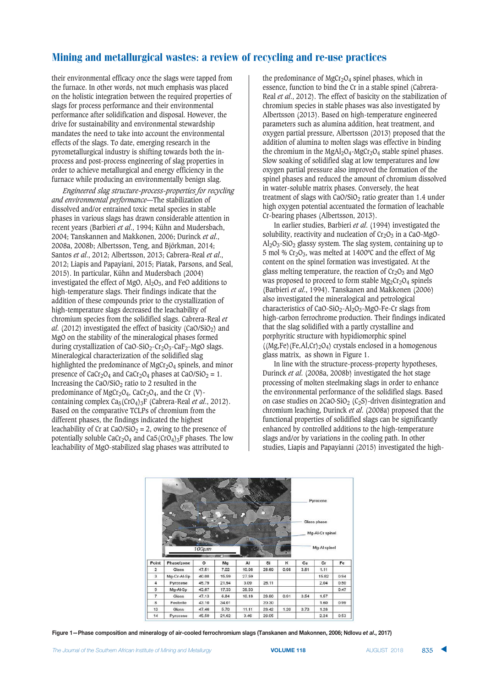their environmental efficacy once the slags were tapped from the furnace. In other words, not much emphasis was placed on the holistic integration between the required properties of slags for process performance and their environmental performance after solidification and disposal. However, the drive for sustainability and environmental stewardship mandates the need to take into account the environmental effects of the slags. To date, emerging research in the pyrometallurgical industry is shifting towards both the inprocess and post-process engineering of slag properties in order to achieve metallurgical and energy efficiency in the furnace while producing an environmentally benign slag.

*Engineered slag structure-process-properties for recycling and environmental performance*—The stabilization of dissolved and/or entrained toxic metal species in stable phases in various slags has drawn considerable attention in recent years (Barbieri *et al*., 1994; Kühn and Mudersbach, 2004; Tanskannen and Makkonen, 2006; Durinck *et al*., 2008a, 2008b; Albertsson, Teng, and Björkman, 2014; Santos *et al*., 2012; Albertsson, 2013; Cabrera-Real *et al*., 2012; Liapis and Papayiani, 2015; Piatak, Parsons, and Seal, 2015). In particular, Kühn and Mudersbach (2004) investigated the effect of MgO,  $Al_2O_3$ , and FeO additions to high-temperature slags. Their findings indicate that the addition of these compounds prior to the crystallization of high-temperature slags decreased the leachability of chromium species from the solidified slags. Cabrera-Real *et al.* (2012) investigated the effect of basicity (CaO/SiO<sub>2</sub>) and MgO on the stability of the mineralogical phases formed during crystallization of CaO-SiO<sub>2</sub>-Cr<sub>2</sub>O<sub>3</sub>-CaF<sub>2</sub>-MgO slags. Mineralogical characterization of the solidified slag highlighted the predominance of  $MgCr<sub>2</sub>O<sub>4</sub>$  spinels, and minor presence of CaCr<sub>2</sub>O<sub>4</sub> and CaCr<sub>2</sub>O<sub>4</sub> phases at CaO/SiO<sub>2</sub> = 1. Increasing the  $CaO/SiO<sub>2</sub>$  ratio to 2 resulted in the predominance of MgCr<sub>2</sub>O<sub>4</sub>, CaCr<sub>2</sub>O<sub>4</sub>, and the Cr (V)containing complex Ca5(CrO4)3F (Cabrera-Real *et al*., 2012). Based on the comparative TCLPs of chromium from the different phases, the findings indicated the highest leachability of Cr at CaO/SiO<sub>2</sub> = 2, owing to the presence of potentially soluble  $CaCr<sub>2</sub>O<sub>4</sub>$  and  $Ca5(CrO<sub>4</sub>)<sub>3</sub>F$  phases. The low leachability of MgO-stabilized slag phases was attributed to

the predominance of  $MgCr_2O_4$  spinel phases, which in essence, function to bind the Cr in a stable spinel (Cabrera-Real *et al*., 2012). The effect of basicity on the stabilization of chromium species in stable phases was also investigated by Albertsson (2013). Based on high-temperature engineered parameters such as alumina addition, heat treatment, and oxygen partial pressure, Albertsson (2013) proposed that the addition of alumina to molten slags was effective in binding the chromium in the MgAl<sub>2</sub>O<sub>4</sub>-MgCr<sub>2</sub>O<sub>4</sub> stable spinel phases. Slow soaking of solidified slag at low temperatures and low oxygen partial pressure also improved the formation of the spinel phases and reduced the amount of chromium dissolved in water-soluble matrix phases. Conversely, the heat treatment of slags with  $CaO/SiO<sub>2</sub>$  ratio greater than 1.4 under high oxygen potential accentuated the formation of leachable Cr-bearing phases (Albertsson, 2013).

In earlier studies, Barbieri *et al*. (1994) investigated the solubility, reactivity and nucleation of  $Cr<sub>2</sub>O<sub>3</sub>$  in a CaO-MgO- $Al_2O_3-SiO_2$  glassy system. The slag system, containing up to 5 mol %  $Cr_2O_3$ , was melted at 1400°C and the effect of Mg content on the spinel formation was investigated. At the glass melting temperature, the reaction of  $Cr_2O_3$  and MgO was proposed to proceed to form stable  $Mg_2Cr_2O_4$  spinels (Barbieri *et al*., 1994). Tanskanen and Makkonen (2006) also investigated the mineralogical and petrological characteristics of CaO-SiO<sub>2</sub>-Al<sub>2</sub>O<sub>3</sub>-MgO-Fe-Cr slags from high-carbon ferrochrome production. Their findings indicated that the slag solidified with a partly crystalline and porphyritic structure with hypidiomorphic spinel  $((Mg,Fe)(Fe,Al,Cr)_2O<sub>4</sub>)$  crystals enclosed in a homogenous glass matrix, as shown in Figure 1.

In line with the structure-process-property hypotheses, Durinck *et al*. (2008a, 2008b) investigated the hot stage processing of molten steelmaking slags in order to enhance the environmental performance of the solidified slags. Based on case studies on  $2CaO·SiO<sub>2</sub> (C<sub>2</sub>S)-driven disintegration and$ chromium leaching, Durinck *et al*. (2008a) proposed that the functional properties of solidified slags can be significantly enhanced by controlled additions to the high-temperature slags and/or by variations in the cooling path. In other studies, Liapis and Papayianni (2015) investigated the high-



Figure 1-Phase composition and mineralogy of air-cooled ferrochromium slags (Tanskanen and Makonnen, 2006; Ndlovu et al., 2017)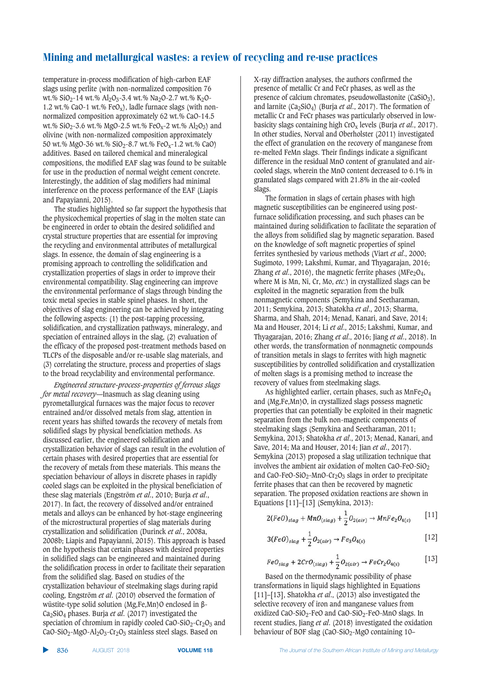temperature in-process modification of high-carbon EAF slags using perlite (with non-normalized composition 76 wt.% SiO<sub>2</sub>-14 wt.% Al<sub>2</sub>O<sub>3</sub>-3.4 wt.% Na<sub>2</sub>O-2.7 wt.% K<sub>2</sub>O-1.2 wt.% CaO-1 wt.%  $FeO<sub>x</sub>$ ), ladle furnace slags (with nonnormalized composition approximately 62 wt.% CaO-14.5 wt.%  $SiO_2-3.6$  wt.% MgO-2.5 wt.% FeO<sub>x</sub>-2 wt.% Al<sub>2</sub>O<sub>3</sub>) and olivine (with non-normalized composition approximately 50 wt.% MgO-36 wt.% SiO<sub>2</sub>-8.7 wt.% FeO<sub>x</sub>-1.2 wt.% CaO) additives. Based on tailored chemical and mineralogical compositions, the modified EAF slag was found to be suitable for use in the production of normal weight cement concrete. Interestingly, the addition of slag modifiers had minimal interference on the process performance of the EAF (Liapis and Papayianni, 2015).

The studies highlighted so far support the hypothesis that the physicochemical properties of slag in the molten state can be engineered in order to obtain the desired solidified and crystal structure properties that are essential for improving the recycling and environmental attributes of metallurgical slags. In essence, the domain of slag engineering is a promising approach to controlling the solidification and crystallization properties of slags in order to improve their environmental compatibility. Slag engineering can improve the environmental performance of slags through binding the toxic metal species in stable spinel phases. In short, the objectives of slag engineering can be achieved by integrating the following aspects: (1) the post-tapping processing, solidification, and crystallization pathways, mineralogy, and speciation of entrained alloys in the slag, (2) evaluation of the efficacy of the proposed post-treatment methods based on TLCPs of the disposable and/or re-usable slag materials, and (3) correlating the structure, process and properties of slags to the broad recyclability and environmental performance.

*Engineered structure-process-properties of ferrous slags for metal recovery*—Inasmuch as slag cleaning using pyrometallurgical furnaces was the major focus to recover entrained and/or dissolved metals from slag, attention in recent years has shifted towards the recovery of metals from solidified slags by physical beneficiation methods. As discussed earlier, the engineered solidification and crystallization behavior of slags can result in the evolution of certain phases with desired properties that are essential for the recovery of metals from these materials. This means the speciation behaviour of alloys in discrete phases in rapidly cooled slags can be exploited in the physical beneficiation of these slag materials (Engström *et al*., 2010; Burja *et al*., 2017). In fact, the recovery of dissolved and/or entrained metals and alloys can be enhanced by hot-stage engineering of the microstructural properties of slag materials during crystallization and solidification (Durinck *et al*., 2008a, 2008b; Liapis and Papayianni, 2015). This approach is based on the hypothesis that certain phases with desired properties in solidified slags can be engineered and maintained during the solidification process in order to facilitate their separation from the solidified slag. Based on studies of the crystallization behaviour of steelmaking slags during rapid cooling, Engström *et al*. (2010) observed the formation of wüstite-type solid solution (Mg,Fe,Mn)O enclosed in β-Ca2SiO4 phases. Burja *et al*. (2017) investigated the speciation of chromium in rapidly cooled CaO-SiO<sub>2</sub>-Cr<sub>2</sub>O<sub>3</sub> and  $CaO-SiO<sub>2</sub>-MgO-Al<sub>2</sub>O<sub>3</sub>-Cr<sub>2</sub>O<sub>3</sub> stainless steel slags. Based on$ 

X-ray diffraction analyses, the authors confirmed the presence of metallic Cr and FeCr phases, as well as the presence of calcium chromates, pseudowollastonite  $(CaSiO<sub>3</sub>)$ , and larnite (Ca2SiO4) (Burja *et al*., 2017). The formation of metallic Cr and FeCr phases was particularly observed in lowbasicity slags containing high CrOx levels (Burja *et al*., 2017). In other studies, Norval and Oberholster (2011) investigated the effect of granulation on the recovery of manganese from re-melted FeMn slags. Their findings indicate a significant difference in the residual MnO content of granulated and aircooled slags, wherein the MnO content decreased to 6.1% in granulated slags compared with 21.8% in the air-cooled slags.

The formation in slags of certain phases with high magnetic susceptibilities can be engineered using postfurnace solidification processing, and such phases can be maintained during solidification to facilitate the separation of the alloys from solidified slag by magnetic separation. Based on the knowledge of soft magnetic properties of spinel ferrites synthesied by various methods (Viart *et al*., 2000; Sugimoto, 1999; Lakshmi, Kumar, and Thyagarajan, 2016; Zhang *et al.*, 2016), the magnetic ferrite phases (MFe<sub>2</sub>O<sub>4</sub>, where M is Mn, Ni, Cr, Mo, *etc*.) in crystallized slags can be exploited in the magnetic separation from the bulk nonmagnetic components (Semykina and Seetharaman, 2011; Semykina, 2013; Shatokha *et al*., 2013; Sharma, Sharma, and Shah, 2014; Menad, Kanari, and Save, 2014; Ma and Houser, 2014; Li *et al*., 2015; Lakshmi, Kumar, and Thyagarajan, 2016; Zhang *et al*., 2016; Jiang *et al*., 2018). In other words, the transformation of nonmagnetic compounds of transition metals in slags to ferrites with high magnetic susceptibilities by controlled solidification and crystallization of molten slags is a promising method to increase the recovery of values from steelmaking slags.

As highlighted earlier, certain phases, such as  $MnFe<sub>2</sub>O<sub>4</sub>$ and (Mg,Fe,Mn)O, in crystallized slags possess magnetic properties that can potentially be exploited in their magnetic separation from the bulk non-magnetic components of steelmaking slags (Semykina and Seetharaman, 2011; Semykina, 2013; Shatokha *et al*., 2013; Menad, Kanari, and Save, 2014; Ma and Houser, 2014; Jian *et al*., 2017). Semykina (2013) proposed a slag utilization technique that involves the ambient air oxidation of molten CaO-FeO-SiO<sub>2</sub> and CaO-FeO-SiO<sub>2</sub>-MnO-Cr<sub>2</sub>O<sub>3</sub> slags in order to precipitate ferrite phases that can then be recovered by magnetic separation. The proposed oxidation reactions are shown in Equations [11]–[13] (Semykina, 2013):

$$
2(FeO)_{slag} + MnO_{(slag)} + \frac{1}{2}O_{2(air)} \rightarrow MnFe_2O_{4(s)} \qquad [11]
$$

$$
3(FeO)_{slag} + \frac{1}{2}O_{2(air)} \rightarrow Fe_3O_{4(s)} \tag{12}
$$

$$
FeO_{stag} + 2CrO_{(stag)} + \frac{1}{2}O_{2(air)} \rightarrow FeCr_2O_{4(s)}
$$
 [13]

Based on the thermodynamic possibility of phase transformations in liquid slags highlighted in Equations [11]–[13], Shatokha *et al*., (2013) also investigated the selective recovery of iron and manganese values from oxidized CaO-SiO2-FeO and CaO-SiO2-FeO-MnO slags. In recent studies, Jiang *et al*. (2018) investigated the oxidation behaviour of BOF slag  $(CaO-SiO<sub>2</sub>-MgO$  containing 10–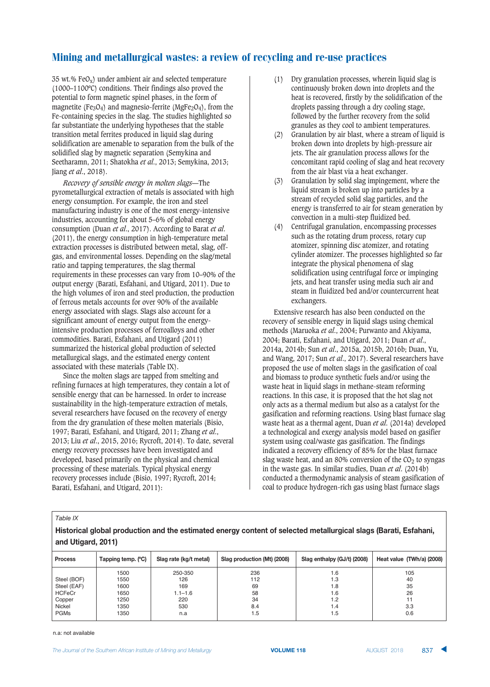35 wt.% Fe $O_x$ ) under ambient air and selected temperature (1000–1100ºC) conditions. Their findings also proved the potential to form magnetic spinel phases, in the form of magnetite (Fe<sub>3</sub>O<sub>4</sub>) and magnesio-ferrite (MgFe<sub>2</sub>O<sub>4</sub>), from the Fe-containing species in the slag. The studies highlighted so far substantiate the underlying hypotheses that the stable transition metal ferrites produced in liquid slag during solidification are amenable to separation from the bulk of the solidified slag by magnetic separation (Semykina and Seetharamn, 2011; Shatokha *et al*., 2013; Semykina, 2013; Jiang *et al*., 2018).

*Recovery of sensible energy in molten slags*—The pyrometallurgical extraction of metals is associated with high energy consumption. For example, the iron and steel manufacturing industry is one of the most energy-intensive industries, accounting for about 5–6% of global energy consumption (Duan *et al*., 2017). According to Barat *et al*. (2011), the energy consumption in high-temperature metal extraction processes is distributed between metal, slag, offgas, and environmental losses. Depending on the slag/metal ratio and tapping temperatures, the slag thermal requirements in these processes can vary from 10–90% of the output energy (Barati, Esfahani, and Utigard, 2011). Due to the high volumes of iron and steel production, the production of ferrous metals accounts for over 90% of the available energy associated with slags. Slags also account for a significant amount of energy output from the energyintensive production processes of ferroalloys and other commodities. Barati, Esfahani, and Utigard (2011) summarized the historical global production of selected metallurgical slags, and the estimated energy content associated with these materials (Table IX).

Since the molten slags are tapped from smelting and refining furnaces at high temperatures, they contain a lot of sensible energy that can be harnessed. In order to increase sustainability in the high-temperature extraction of metals, several researchers have focused on the recovery of energy from the dry granulation of these molten materials (Bisio, 1997; Barati, Esfahani, and Utigard, 2011; Zhang *et al*., 2013; Liu *et al*., 2015, 2016; Rycroft, 2014). To date, several energy recovery processes have been investigated and developed, based primarily on the physical and chemical processing of these materials. Typical physical energy recovery processes include (Bisio, 1997; Rycroft, 2014; Barati, Esfahani, and Utigard, 2011):

- (1) Dry granulation processes, wherein liquid slag is continuously broken down into droplets and the heat is recovered, firstly by the solidification of the droplets passing through a dry cooling stage, followed by the further recovery from the solid granules as they cool to ambient temperatures.
- Granulation by air blast, where a stream of liquid is broken down into droplets by high-pressure air jets. The air granulation process allows for the concomitant rapid cooling of slag and heat recovery from the air blast via a heat exchanger.
- (3) Granulation by solid slag impingement, where the liquid stream is broken up into particles by a stream of recycled solid slag particles, and the energy is transferred to air for steam generation by convection in a multi-step fluidized bed.
- (4) Centrifugal granulation, encompassing processes such as the rotating drum process, rotary cup atomizer, spinning disc atomizer, and rotating cylinder atomizer. The processes highlighted so far integrate the physical phenomena of slag solidification using centrifugal force or impinging jets, and heat transfer using media such air and steam in fluidized bed and/or countercurrent heat exchangers.

Extensive research has also been conducted on the recovery of sensible energy in liquid slags using chemical methods (Maruoka *et al*., 2004; Purwanto and Akiyama, 2004; Barati, Esfahani, and Utigard, 2011; Duan *et al*., 2014a, 2014b; Sun *et al*., 2015a, 2015b, 2016b; Duan, Yu, and Wang, 2017; Sun *et al*., 2017). Several researchers have proposed the use of molten slags in the gasification of coal and biomass to produce synthetic fuels and/or using the waste heat in liquid slags in methane-steam reforming reactions. In this case, it is proposed that the hot slag not only acts as a thermal medium but also as a catalyst for the gasification and reforming reactions. Using blast furnace slag waste heat as a thermal agent, Duan *et al*. (2014a) developed a technological and exergy analysis model based on gasifier system using coal/waste gas gasification. The findings indicated a recovery efficiency of 85% for the blast furnace slag waste heat, and an 80% conversion of the  $CO<sub>2</sub>$  to syngas in the waste gas. In similar studies, Duan *et al*. (2014b) conducted a thermodynamic analysis of steam gasification of coal to produce hydrogen-rich gas using blast furnace slags

#### *Table IX*

#### Historical global production and the estimated energy content of selected metallurgical slags (Barati, Esfahani, **and Utigard, 2011)**

| <b>Process</b> | Tapping temp. (°C) | Slag rate (kg/t metal) | Slag production (Mt) (2008) | Slag enthalpy (GJ/t) (2008) | Heat value (TWh/a) (2008) |
|----------------|--------------------|------------------------|-----------------------------|-----------------------------|---------------------------|
|                | 1500               | 250-350                | 236                         | 1.6                         | 105                       |
| Steel (BOF)    | 1550               | 126                    | 112                         | 1.3                         | 40                        |
| Steel (EAF)    | 1600               | 169                    | 69                          | 1.8                         | 35                        |
| <b>HCFeCr</b>  | 1650               | $1.1 - 1.6$            | 58                          | 1.6                         | 26                        |
| Copper         | 1250               | 220                    | 34                          | 1.2                         |                           |
| Nickel         | 350                | 530                    | 8.4                         | 1.4                         | 3.3                       |
| <b>PGMs</b>    | 1350               | n.a                    | 1.5                         | 1.5                         | 0.6                       |

n.a: not available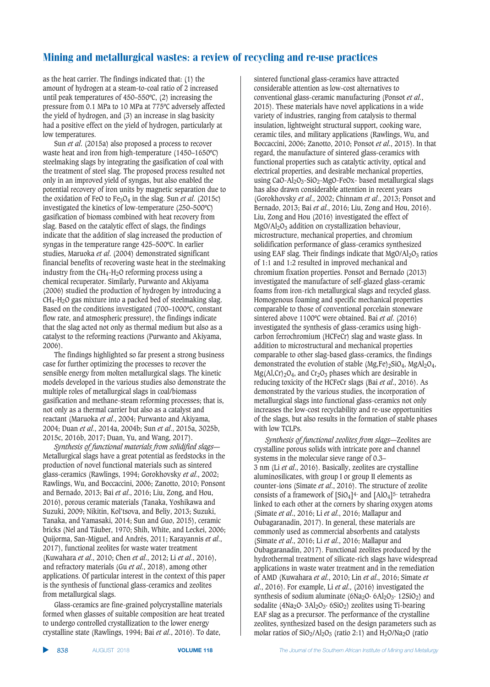as the heat carrier. The findings indicated that: (1) the amount of hydrogen at a steam-to-coal ratio of 2 increased until peak temperatures of 450–550ºC, (2) increasing the pressure from 0.1 MPa to 10 MPa at 775ºC adversely affected the yield of hydrogen, and (3) an increase in slag basicity had a positive effect on the yield of hydrogen, particularly at low temperatures.

Sun *et al*. (2015a) also proposed a process to recover waste heat and iron from high-temperature (1450–1650ºC) steelmaking slags by integrating the gasification of coal with the treatment of steel slag. The proposed process resulted not only in an improved yield of syngas, but also enabled the potential recovery of iron units by magnetic separation due to the oxidation of FeO to Fe3O4 in the slag. Sun *et al*. (2015c) investigated the kinetics of low-temperature (250–500ºC) gasification of biomass combined with heat recovery from slag. Based on the catalytic effect of slags, the findings indicate that the addition of slag increased the production of syngas in the temperature range 425–500ºC. In earlier studies, Maruoka *et al*. (2004) demonstrated significant financial benefits of recovering waste heat in the steelmaking industry from the  $CH_4-H_2O$  reforming process using a chemical recuperator. Similarly, Purwanto and Akiyama (2006) studied the production of hydrogen by introducing a  $CH_4-H_2O$  gas mixture into a packed bed of steelmaking slag. Based on the conditions investigated (700–1000ºC, constant flow rate, and atmospheric pressure), the findings indicate that the slag acted not only as thermal medium but also as a catalyst to the reforming reactions (Purwanto and Akiyama, 2006).

The findings highlighted so far present a strong business case for further optimizing the processes to recover the sensible energy from molten metallurgical slags. The kinetic models developed in the various studies also demonstrate the multiple roles of metallurgical slags in coal/biomass gasification and methane-steam reforming processes; that is, not only as a thermal carrier but also as a catalyst and reactant (Maruoka *et al*., 2004; Purwanto and Akiyama, 2004; Duan *et al*., 2014a, 2004b; Sun *et al*., 2015a, 3025b, 2015c, 2016b, 2017; Duan, Yu, and Wang, 2017).

*Synthesis of functional materials from solidified slags*— Metallurgical slags have a great potential as feedstocks in the production of novel functional materials such as sintered glass-ceramics (Rawlings, 1994; Gorokhovsky *et al*., 2002; Rawlings, Wu, and Boccaccini, 2006; Zanotto, 2010; Ponsont and Bernado, 2013; Bai *et al*., 2016; Liu, Zong, and Hou, 2016), porous ceramic materials (Tanaka, Yoshikawa and Suzuki, 2009; Nikitin, Kol'tsova, and Beliy, 2013; Suzuki, Tanaka, and Yamasaki, 2014; Sun and Guo, 2015), ceramic bricks (Nel and Täuber, 1970; Shih, White, and Leckei, 2006; Quijorma, San-Miguel, and Andrés, 2011; Karayannis *et al*., 2017), functional zeolites for waste water treatment (Kuwahara *et al*., 2010; Chen *et al*., 2012; Li *et al*., 2016), and refractory materials (Gu *et al*., 2018), among other applications. Of particular interest in the context of this paper is the synthesis of functional glass-ceramics and zeolites from metallurgical slags.

Glass-ceramics are fine-grained polycrystalline materials formed when glasses of suitable composition are heat treated to undergo controlled crystallization to the lower energy crystalline state (Rawlings, 1994; Bai *et al*., 2016). To date,

sintered functional glass-ceramics have attracted considerable attention as low-cost alternatives to conventional glass-ceramic manufacturing (Ponsot *et al*., 2015). These materials have novel applications in a wide variety of industries, ranging from catalysis to thermal insulation, lightweight structural support, cooking ware, ceramic tiles, and military applications (Rawlings, Wu, and Boccaccini, 2006; Zanotto, 2010; Ponsot *et al*., 2015). In that regard, the manufacture of sintered glass-ceramics with functional properties such as catalytic activity, optical and electrical properties, and desirable mechanical properties, using CaO-Al<sub>2</sub>O<sub>3</sub>-SiO<sub>2</sub>-MgO-FeOx- based metallurgical slags has also drawn considerable attention in recent years (Gorokhovsky *et al*., 2002; Chinnam *et al*., 2013; Ponsot and Bernado, 2013; Bai *et al*., 2016; Liu, Zong and Hou, 2016). Liu, Zong and Hou (2016) investigated the effect of MgO/Al2O3 addition on crystallization behaviour, microstructure, mechanical properties, and chromium solidification performance of glass-ceramics synthesized using EAF slag. Their findings indicate that  $MgO/Al_2O_3$  ratios of 1:1 and 1:2 resulted in improved mechanical and chromium fixation properties. Ponsot and Bernado (2013) investigated the manufacture of self-glazed glass-ceramic foams from iron-rich metallurgical slags and recycled glass. Homogenous foaming and specific mechanical properties comparable to those of conventional porcelain stoneware sintered above 1100ºC were obtained. Bai *et al*. (2016) investigated the synthesis of glass-ceramics using highcarbon ferrochromium (HCFeCr) slag and waste glass. In addition to microstructural and mechanical properties comparable to other slag-based glass-ceramics, the findings demonstrated the evolution of stable  $(Mg,Fe)_2SiO_4$ ,  $MgAl_2O_4$ ,  $Mg(Al,Cr)_{2}O_4$ , and  $Cr_2O_3$  phases which are desirable in reducing toxicity of the HCFeCr slags (Bai *et al*., 2016). As demonstrated by the various studies, the incorporation of metallurgical slags into functional glass-ceramics not only increases the low-cost recyclability and re-use opportunities of the slags, but also results in the formation of stable phases with low TCLPs.

*Synthesis of functional zeolites from slags*—Zeolites are crystalline porous solids with intricate pore and channel systems in the molecular sieve range of 0.3– 3 nm (Li *et al*., 2016). Basically, zeolites are crystalline aluminosilicates, with group I or group II elements as counter-ions (Simate *et al*., 2016). The structure of zeolite consists of a framework of  $[SiO_4]$ <sup>4-</sup> and  $[AIO_4]$ <sup>5-</sup> tetrahedra linked to each other at the corners by sharing oxygen atoms (Simate *et al*., 2016; Li *et al*., 2016; Mallapur and Oubagaranadin, 2017). In general, these materials are commonly used as commercial absorbents and catalysts (Simate *et al*., 2016; Li *et al*., 2016; Mallapur and Oubagaranadin, 2017). Functional zeolites produced by the hydrothermal treatment of silicate-rich slags have widespread applications in waste water treatment and in the remediation of AMD (Kuwahara *et al*., 2010; Lin *et al*., 2016; Simate *et al*., 2016). For example, Li *et al*., (2016) investigated the synthesis of sodium aluminate ( $6Na<sub>2</sub>O· $6Al<sub>2</sub>O<sub>3</sub>·12SiO<sub>2</sub>$$ ) and sodalite (4Na<sub>2</sub>O· 3Al<sub>2</sub>O<sub>3</sub>· 6SiO<sub>2</sub>) zeolites using Ti-bearing EAF slag as a precursor. The performance of the crystalline zeolites, synthesized based on the design parameters such as molar ratios of  $SiO_2/Al_2O_3$  (ratio 2:1) and  $H_2O/Na_2O$  (ratio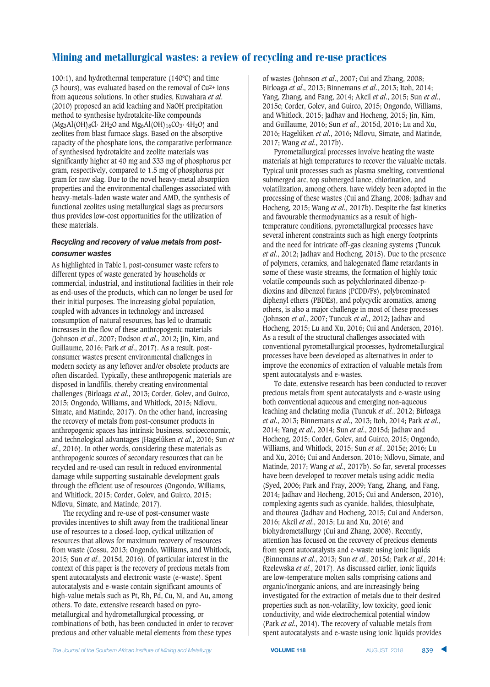100:1), and hydrothermal temperature (140ºC) and time (3 hours), was evaluated based on the removal of  $Cu<sup>2+</sup>$  ions from aqueous solutions. In other studies, Kuwahara *et al*. (2010) proposed an acid leaching and NaOH precipitation method to synthesise hydrotalcite-like compounds  $(Mg_3Al(OH)_8Cl· 2H_2O$  and  $Mg_6Al(OH)_{16}CO_3· 4H_2O$  and zeolites from blast furnace slags. Based on the absorptive capacity of the phosphate ions, the comparative performance of synthesised hydrotalcite and zeolite materials was significantly higher at 40 mg and 333 mg of phosphorus per gram, respectively, compared to 1.5 mg of phosphorus per gram for raw slag. Due to the novel heavy-metal absorption properties and the environmental challenges associated with heavy-metals-laden waste water and AMD, the synthesis of functional zeolites using metallurgical slags as precursors thus provides low-cost opportunities for the utilization of these materials.

#### Recycling and recovery of value metals from postconsumer wastes

As highlighted in Table I, post-consumer waste refers to different types of waste generated by households or commercial, industrial, and institutional facilities in their role as end-uses of the products, which can no longer be used for their initial purposes. The increasing global population, coupled with advances in technology and increased consumption of natural resources, has led to dramatic increases in the flow of these anthropogenic materials (Johnson *et al*., 2007; Dodson *et al*., 2012; Jin, Kim, and Guillaume, 2016; Park *et al*., 2017). As a result, postconsumer wastes present environmental challenges in modern society as any leftover and/or obsolete products are often discarded. Typically, these anthropogenic materials are disposed in landfills, thereby creating environmental challenges (Birloaga *et al*., 2013; Corder, Golev, and Guirco, 2015; Ongondo, Williams, and Whitlock, 2015; Ndlovu, Simate, and Matinde, 2017). On the other hand, increasing the recovery of metals from post-consumer products in anthropogenic spaces has intrinsic business, socioeconomic, and technological advantages (Hagelüken *et al*., 2016; Sun *et al*., 2016). In other words, considering these materials as anthropogenic sources of secondary resources that can be recycled and re-used can result in reduced environmental damage while supporting sustainable development goals through the efficient use of resources (Ongondo, Williams, and Whitlock, 2015; Corder, Golev, and Guirco, 2015; Ndlovu, Simate, and Matinde, 2017).

The recycling and re-use of post-consumer waste provides incentives to shift away from the traditional linear use of resources to a closed-loop, cyclical utilization of resources that allows for maximum recovery of resources from waste (Cossu, 2013; Ongondo, Williams, and Whitlock, 2015; Sun *et al*., 2015d, 2016). Of particular interest in the context of this paper is the recovery of precious metals from spent autocatalysts and electronic waste (e-waste). Spent autocatalysts and e-waste contain significant amounts of high-value metals such as Pt, Rh, Pd, Cu, Ni, and Au, among others. To date, extensive research based on pyrometallurgical and hydrometallurgical processing, or combinations of both, has been conducted in order to recover precious and other valuable metal elements from these types

of wastes (Johnson *et al*., 2007; Cui and Zhang, 2008; Birloaga *et al*., 2013; Binnemans *et al*., 2013; Itoh, 2014; Yang, Zhang, and Fang, 2014; Akcil *et al*., 2015; Sun *et al*., 2015c; Corder, Golev, and Guirco, 2015; Ongondo, Williams, and Whitlock, 2015; Jadhav and Hocheng, 2015; Jin, Kim, and Guillaume, 2016; Sun *et al*., 2015d, 2016; Lu and Xu, 2016; Hagelüken *et al*., 2016; Ndlovu, Simate, and Matinde, 2017; Wang *et al*., 2017b).

Pyrometallurgical processes involve heating the waste materials at high temperatures to recover the valuable metals. Typical unit processes such as plasma smelting, conventional submerged arc, top submerged lance, chlorination, and volatilization, among others, have widely been adopted in the processing of these wastes (Cui and Zhang, 2008; Jadhav and Hocheng, 2015; Wang *et al*., 2017b). Despite the fast kinetics and favourable thermodynamics as a result of hightemperature conditions, pyrometallurgical processes have several inherent constraints such as high energy footprints and the need for intricate off-gas cleaning systems (Tuncuk *et al*., 2012; Jadhav and Hocheng, 2015). Due to the presence of polymers, ceramics, and halogenated flame retardants in some of these waste streams, the formation of highly toxic volatile compounds such as polychlorinated dibenzo-pdioxins and dibenzol furans (PCDD/Fs), polybrominated diphenyl ethers (PBDEs), and polycyclic aromatics, among others, is also a major challenge in most of these processes (Johnson *et al*., 2007; Tuncuk *et al*., 2012; Jadhav and Hocheng, 2015; Lu and Xu, 2016; Cui and Anderson, 2016). As a result of the structural challenges associated with conventional pyrometallurgical processes, hydrometallurgical processes have been developed as alternatives in order to improve the economics of extraction of valuable metals from spent autocatalysts and e-wastes.

To date, extensive research has been conducted to recover precious metals from spent autocatalysts and e-waste using both conventional aqueous and emerging non-aqueous leaching and chelating media (Tuncuk *et al*., 2012; Birloaga *et al*., 2013; Binnemans *et al*., 2013; Itoh, 2014; Park *et al*., 2014; Yang *et al*., 2014; Sun *et al*., 2015d; Jadhav and Hocheng, 2015; Corder, Golev, and Guirco, 2015; Ongondo, Williams, and Whitlock, 2015; Sun *et al*., 2015e; 2016; Lu and Xu, 2016; Cui and Anderson, 2016; Ndlovu, Simate, and Matinde, 2017; Wang *et al*., 2017b). So far, several processes have been developed to recover metals using acidic media (Syed, 2006; Park and Fray, 2009; Yang, Zhang, and Fang, 2014; Jadhav and Hocheng, 2015; Cui and Anderson, 2016), complexing agents such as cyanide, halides, thiosulphate, and thourea (Jadhav and Hocheng, 2015; Cui and Anderson, 2016; Akcil *et al*., 2015; Lu and Xu, 2016) and biohydrometallurgy (Cui and Zhang, 2008). Recently, attention has focused on the recovery of precious elements from spent autocatalysts and e-waste using ionic liquids (Binnemans *et al*., 2013; Sun *et al*., 2015d; Park *et al*., 2014; Rzelewska *et al*., 2017). As discussed earlier, ionic liquids are low-temperature molten salts comprising cations and organic/inorganic anions, and are increasingly being investigated for the extraction of metals due to their desired properties such as non-volatility, low toxicity, good ionic conductivity, and wide electrochemical potential window (Park *et al*., 2014). The recovery of valuable metals from spent autocatalysts and e-waste using ionic liquids provides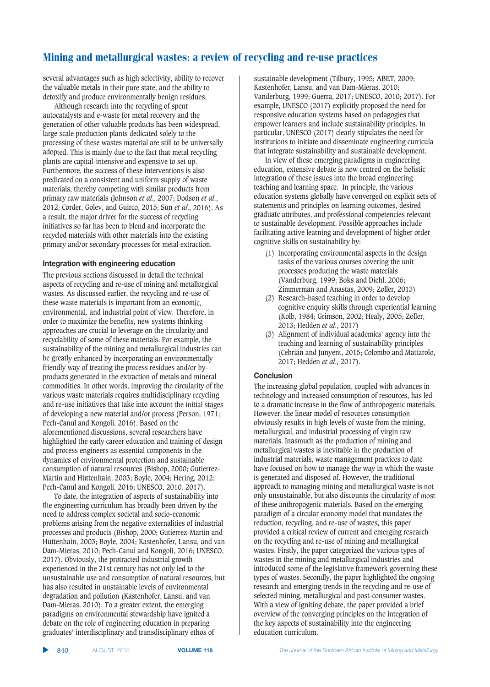several advantages such as high selectivity, ability to recover the valuable metals in their pure state, and the ability to detoxify and produce environmentally benign residues.

Although research into the recycling of spent autocatalysts and e-waste for metal recovery and the generation of other valuable products has been widespread, large scale production plants dedicated solely to the processing of these wastes material are still to be universally adopted. This is mainly due to the fact that metal recycling plants are capital-intensive and expensive to set up. Furthermore, the success of these interventions is also predicated on a consistent and uniform supply of waste materials, thereby competing with similar products from primary raw materials (Johnson *et al*., 2007; Dodson *et al*., 2012; Corder, Golev, and Guirco, 2015; Sun *et al*., 2016). As a result, the major driver for the success of recycling initiatives so far has been to blend and incorporate the recycled materials with other materials into the existing primary and/or secondary processes for metal extraction.

#### **htegration with engineering education**

The previous sections discussed in detail the technical aspects of recycling and re-use of mining and metallurgical wastes. As discussed earlier, the recycling and re-use of these waste materials is important from an economic, environmental, and industrial point of view. Therefore, in order to maximize the benefits, new systems thinking approaches are crucial to leverage on the circularity and recyclability of some of these materials. For example, the sustainability of the mining and metallurgical industries can be greatly enhanced by incorporating an environmentally friendly way of treating the process residues and/or byproducts generated in the extraction of metals and mineral commodities. In other words, improving the circularity of the various waste materials requires multidisciplinary recycling and re-use initiatives that take into account the initial stages of developing a new material and/or process (Person, 1971; Pech-Canul and Kongoli, 2016). Based on the aforementioned discussions, several researchers have highlighted the early career education and training of design and process engineers as essential components in the dynamics of environmental protection and sustainable consumption of natural resources (Bishop, 2000; Gutierrez-Martin and Hüttenhain, 2003; Boyle, 2004; Hering, 2012; Pech-Canul and Kongoli, 2016; UNESCO, 2010. 2017).

To date, the integration of aspects of sustainability into the engineering curriculum has broadly been driven by the need to address complex societal and socio-economic problems arising from the negative externalities of industrial processes and products (Bishop, 2000; Gutierrez-Martin and Hüttenhain, 2003; Boyle, 2004; Kastenhofer, Lansu, and van Dam-Mieras, 2010; Pech-Canul and Kongoli, 2016; UNESCO, 2017). Obviously, the protracted industrial growth experienced in the 21st century has not only led to the unsustainable use and consumption of natural resources, but has also resulted in unstainable levels of environmental degradation and pollution (Kastenhofer, Lansu, and van Dam-Mieras, 2010). To a greater extent, the emerging paradigms on environmental stewardship have ignited a debate on the role of engineering education in preparing graduates' interdisciplinary and transdisciplinary ethos of

sustainable development (Tilbury, 1995; ABET, 2009; Kastenhofer, Lansu, and van Dam-Mieras, 2010; Vanderburg, 1999; Guerra, 2017; UNESCO, 2010; 2017). For example, UNESCO (2017) explicitly proposed the need for responsive education systems based on pedagogies that empower learners and include sustainability principles. In particular, UNESCO (2017) clearly stipulates the need for institutions to initiate and disseminate engineering curricula that integrate sustainability and sustainable development.

In view of these emerging paradigms in engineering education, extensive debate is now centred on the holistic integration of these issues into the broad engineering teaching and learning space. In principle, the various education systems globally have converged on explicit sets of statements and principles on learning outcomes, desired graduate attributes, and professional competencies relevant to sustainable development. Possible approaches include facilitating active learning and development of higher order cognitive skills on sustainability by:

- (1) Incorporating environmental aspects in the design tasks of the various courses covering the unit processes producing the waste materials (Vanderburg, 1999; Boks and Diehl, 2006; Zimmerman and Anastas, 2009; Zoller, 2013)
- (2) Research-based teaching in order to develop cognitive enquiry skills through experiential learning (Kolb, 1984; Grimson, 2002; Healy, 2005; Zoller, 2013; Hedden *et al*., 2017)
- (3) Alignment of individual academics' agency into the teaching and learning of sustainability principles (Cebrián and Junyent, 2015; Colombo and Mattarolo, 2017; Hedden *et al*., 2017).

#### **Conclusion**

The increasing global population, coupled with advances in technology and increased consumption of resources, has led to a dramatic increase in the flow of anthropogenic materials. However, the linear model of resources consumption obviously results in high levels of waste from the mining, metallurgical, and industrial processing of virgin raw materials. Inasmuch as the production of mining and metallurgical wastes is inevitable in the production of industrial materials, waste management practices to date have focused on how to manage the way in which the waste is generated and disposed of. However, the traditional approach to managing mining and metallurgical waste is not only unsustainable, but also discounts the circularity of most of these anthropogenic materials. Based on the emerging paradigm of a circular economy model that mandates the reduction, recycling, and re-use of wastes, this paper provided a critical review of current and emerging research on the recycling and re-use of mining and metallurgical wastes. Firstly, the paper categorized the various types of wastes in the mining and metallurgical industries and introduced some of the legislative framework governing these types of wastes. Secondly, the paper highlighted the ongoing research and emerging trends in the recycling and re-use of selected mining, metallurgical and post-consumer wastes. With a view of igniting debate, the paper provided a brief overview of the converging principles on the integration of the key aspects of sustainability into the engineering education curriculum.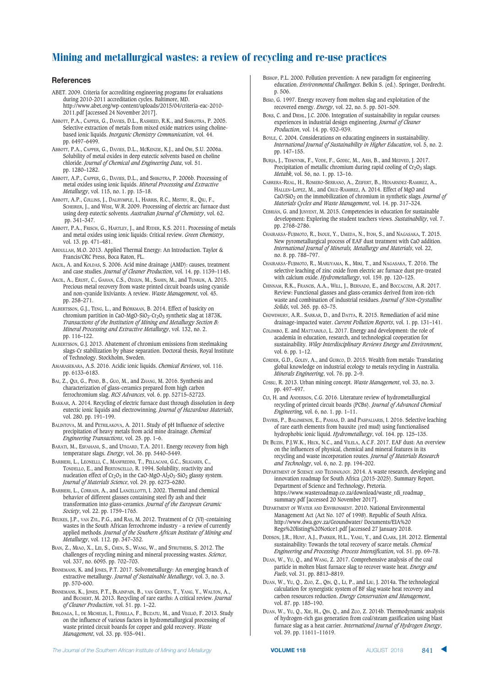#### $References$

- ABET. 2009. Criteria for accrediting engineering programs for evaluations during 2010-2011 accreditation cycles. Baltimore, MD. http://www.abet.org/wp-content/uploads/2015/04/criteria-eac-2010- 2011.pdf [accessed 24 November 2017].
- ABBOTT, P.A., CAPPER, G., DAVIES, D.L., RASHEED, R.K., and SHIKOTRA, P. 2005. Selective extraction of metals from mixed oxide matrices using cholinebased ionic liquids. *Inorganic Chemistry Communication*, vol. 44. pp. 6497–6499.
- ABBOTT, P.A., CAPPER, G., DAVIES, D.L., MCKENZIE, K.J., and OBI, S.U. 2006a. Solubility of metal oxides in deep eutectic solvents based on choline chloride. *Journal of Chemical and Engineering Data*, vol. 51. pp. 1280–1282.
- ABBOTT, A.P., CAPPER, G., DAVIES, D.L., and SHIKOTRA, P. 2006b. Processing of metal oxides using ionic liquids. *Mineral Processing and Extractive Metallurgy*, vol. 115, no. 1. pp. 15–18.
- ABBOTT, A.P., COLLINS, J., DALRYMPLE, I., HARRIS, R.C., MISTRY, R., QIU, F., SCHEIRER, J., and WISE, W.R. 2009. Processing of electric arc furnace dust using deep eutectic solvents. *Australian Journal of Chemistry*, vol. 62. pp. 341–347.
- ABBOTT, P.A., FRISCH, G., HARTLEY, J., and RYDER, K.S. 2011. Processing of metals and metal oxides using ionic liquids: Critical review. *Green Chemistry*, vol. 13. pp. 471–481.
- ABDULLAH, M.O. 2013. Applied Thermal Energy: An Introduction. Taylor & Francis/CRC Press, Boca Raton, FL.
- AKCIL, A. and KOLDAS, S. 2006. Acid mine drainage (AMD): causes, treatment and case studies. *Journal of Cleaner Production*, vol. 14. pp. 1139–1145.
- AKCIL, A., ERUST, C., GAHAN, C.S., OZGUN, M., SAHIN, M., and TUNKUK, A. 2015. Precious metal recovery from waste printed circuit boards using cyanide and non-cyanide lixiviants: A review. *Waste Management*, vol. 45. pp. 258–271.
- ALBERTSSON, G.J., TENG, L., and BJÖRKMAN, B. 2014. Effect of basicity on chromium partition in CaO-MgO-SiO<sub>2</sub>-Cr<sub>2</sub>O<sub>3</sub> synthetic slag at 1873K. *Transactions of the Institution of Mining and Metallurgy Section B: Mineral Processing and Extractive Metallurgy*, vol. 132, no. 2. pp. 116–122.
- ALBERTSSON, G.J. 2013. Abatement of chromium emissions from steelmaking slags-Cr stabilization by phase separation. Doctoral thesis, Royal Institute of Technology. Stockholm, Sweden.
- AMARASEKARA, A.S. 2016. Acidic ionic liquids. *Chemical Reviews*, vol. 116. pp. 6133–6183.
- BAI, Z., QUI, G., PEND, B., GUO, M., and ZHANG, M. 2016. Synthesis and characterization of glass-ceramics prepared from high carbon ferrochromium slag. *RCS Advances*, vol. 6. pp. 52715–52723.
- BAKKAR, A. 2014. Recycling of electric furnace dust through dissolution in deep eutectic ionic liquids and electrowinning. *Journal of Hazardous Materials*, vol. 280. pp. 191–199.
- BALINTOVA, M. and PETRILAKOVA, A. 2011. Study of pH Influence of selective precipitation of heavy metals from acid mine drainage. *Chemical Engineering Transactions*, vol. 25. pp. 1–6.
- BARATI, M., ESFAHANI, S., and UTIGARD, T.A. 2011. Energy recovery from high temperature slags. *Energy*, vol. 36. pp. 5440–5449.
- BARBIERI, L., LEONELLI, C., MANFREDINI, T., PELLACANI, G.C., SILIGARDI, C., TONDELLO, E., and BERTONCELLO, R. 1994. Solubility, reactivity and nucleation effect of  $Cr_2O_3$  in the CaO-MgO-Al<sub>2</sub>O<sub>3</sub>-SiO<sub>2</sub> glassy system. *Journal of Materials Science*, vol. 29. pp. 6273–6280.
- BARBIERI, L., CORRADI, A., and LANCELLOTTI, I. 2002. Thermal and chemical behavior of different glasses containing steel fly ash and their transformation into glass-ceramics. *Journal of the European Ceramic Society*, vol. 22. pp. 1759–1765.
- BEUKES, J.P., VAN ZYL, P.G., and RAS, M. 2012. Treatment of Cr (VI)-containing wastes in the South African ferrochrome industry - a review of currently applied methods. *Journal of the Southern African Institute of Mining and Metallurgy*, vol. 112. pp. 347–352.
- BIAN, Z., MIAO, X., LEI, S., CHEN, S., WANG, W., and STRUTHERS, S. 2012. The challenges of recycling mining and mineral processing wastes. *Science*, vol. 337, no. 6095. pp. 702–703.
- BINNEMANS, K. and JONES, P.T. 2017. Solvometallurgy: An emerging branch of extractive metallurgy. *Journal of Sustainable Metallurgy*, vol. 3, no. 3. pp. 570–600.
- BINNEMANS, K., JONES, P.T., BLAINPAIN, B., VAN GERVEN, T., YANG, Y., WALTON, A., and BUCHERT, M. 2013. Recycling of rare earths: A critical review. *Journal of Cleaner Production*, vol. 51. pp. 1–22.
- BIRLOAGA, I., DE MICHELIS, I., FERELLA, F., BUZATU, M., and VEGLIÒ, F. 2013. Study on the influence of various factors in hydrometallurgical processing of waste printed circuit boards for copper and gold recovery. *Waste Management*, vol. 33. pp. 935–941.
- BISHOP, P.L. 2000. Pollution prevention: A new paradigm for engineering education. *Environmental Challenges*. Belkin S. (ed.). Springer, Dordrecht. p. 506.
- BISIO, G. 1997. Energy recovery from molten slag and exploitation of the recovered energy. *Energy*, vol. 22, no. 5. pp. 501–509.
- Boks, C. and DIEHL, J.C. 2006. Integration of sustainability in regular courses: experiences in industrial design engineering. *Journal of Cleaner Production*, vol. 14. pp. 932–939.
- BOYLE, C. 2004. Considerations on educating engineers in sustainability. *International Journal of Sustainability in Higher Education*, vol. 5, no. 2. pp. 147–155.
- BURJA, J., TEHOVNIK, F., VODE, F., GODEC, M., ARH, B., and MEDVED, J. 2017. Precipitation of metallic chromium during rapid cooling of  $Cr<sub>2</sub>O<sub>3</sub>$  slags. *Metabk*, vol. 56, no. 1. pp. 13–16.
- CABRERA-REAL, H., ROMERO-SERRANO, A., ZEIFERT, B., HENARNDEZ-RAMIREZ, A., HALLEN-LOPEZ, M., and CRUZ-RAMIREZ, A. 2014. Effect of MgO and CaO/SiO2 on the immobilization of chromium in synthetic slags. *Journal of Materials Cycles and Waste Management*, vol. 14. pp. 317–324.
- CEBRIÁN, G. and JUNYENT, M. 2015. Competencies in education for sustainable development: Exploring the student teachers views. *Sustainability*, vol. 7. pp. 2768–2786.
- CHAIRAKSA-FUJIMOTO, R., INOUE, Y., UMEDA, N., ITOH, S., and NAGASAKA, T. 2015. New pyrometallurgical process of EAF dust treatment with CaO addition. *International Journal of Minerals, Metallurgy and Materials*, vol. 22, no. 8. pp. 788–797.
- CHAIRAKSA-FUJIMOTO, R., MARUYAMA, K., MIKI, T., and NAGASAKA, T. 2016. The selective leaching of zinc oxide from electric arc furnace dust pre-treated with calcium oxide. *Hydrometallurgy*, vol. 159. pp. 120–125.
- CHINNAM, R.K., FRANCIS, A.A., WILL, J., BERNADO, E., and BOCCACCINI, A.R. 2017. Review: Functional glasses and glass-ceramics derived from iron-rich waste and combination of industrial residues. *Journal of Non-Crystalline Solids*, vol. 365. pp. 63–75.
- CHOWDHURY, A.R.. SARKAR, D., and DATTA, R. 2015. Remediation of acid mine drainage-impacted water. *Current Pollution Reports*, vol. 1. pp. 131–141.
- COLOMBO, E. and MATTAROLO, L. 2017. Energy and development: the role of academia in education, research, and technological cooperation for sustainability. *Wiley Interdisciplinary Reviews Energy and Environment*, vol. 6. pp. 1–12.
- CORDER, G.D., GOLEV, A., and GUIRCO, D. 2015. Wealth from metals: Translating global knowledge on industrial ecology to metals recycling in Australia. *Minerals Engineering*, vol. 76. pp. 2–9.
- COSSU, R. 2013. Urban mining concept. *Waste Management*, vol. 33, no. 3. pp. 497–497.
- CUI, H. and ANDERSON, C.G. 2016. Literature review of hydrometallurgical recycling of printed circuit boards (PCBs). *Journal of Advanced Chemical Engineerin*g, vol. 6, no. 1. pp. 1–11.
- DAVRIS, P., BALOMENOS, E., PANIAS, D. and PASPALIARIS, I. 2016. Selective leaching of rare earth elements from bauxite (red mud) using functionalised hydrophobic ionic liquid. *Hydrometallurgy*, vol. 164. pp. 125–135.
- DE BUZIN, P.J.W.K., HECK, N.C., and VILELA, A.C.F. 2017. EAF dust: An overview on the influences of physical, chemical and mineral features in its recycling and waste incorporation routes. *Journal of Materials Research and Technology*, vol. 6, no. 2. pp. 194–202.
- DEPARTMENT OF SCIENCE AND TECHNOLOGY. 2014. A waste research, developing and innovation roadmap for South Africa (2015-2025). Summary Report. Department of Science and Technology, Pretoria. https://www.wasteroadmap.co.za/download/waste\_rdi\_roadmap\_ summary.pdf [accessed 20 November 2017].
- DEPARTMENT OF WATER AND ENVIRONMENT. 2010. National Environmental Management Act (Act No. 107 of 1998). Republic of South Africa. http://www.dwa.gov.za/Groundwater/ Documents/EIA%20 Regs%20listing%20Notice1.pdf [accessed 27 January 2018.
- DODSON, J.R., HUNT, A.J., PARKER, H.L., YANG, Y., and CLARK, J.H. 2012. Elemental sustainability: Towards the total recovery of scarce metals. *Chemical Engineering and Processing: Process Intensification*, vol. 51. pp. 69–78.
- DUAN, W., YU, Q., and WANG, Z. 2017. Comprehensive analysis of the coal particle in molten blast furnace slag to recover waste heat. *Energy and Fuels*, vol. 31. pp. 8813–8819.
- DUAN, W., YU, Q., ZUO, Z., QIN, Q., LI, P., and LIU, J. 2014a. The technological calculation for synergistic system of BF slag waste heat recovery and carbon resources reduction. *Energy Conservation and Management*, vol. 87. pp. 185–190.
- DUAN, W., YU, Q., XIE, H., QIN, Q., and ZUO, Z. 2014b. Thermodynamic analysis of hydrogen-rich gas generation from coal/steam gasification using blast furnace slag as a heat carrier. *International Journal of Hydrogen Energy*, vol. 39. pp. 11611-11619.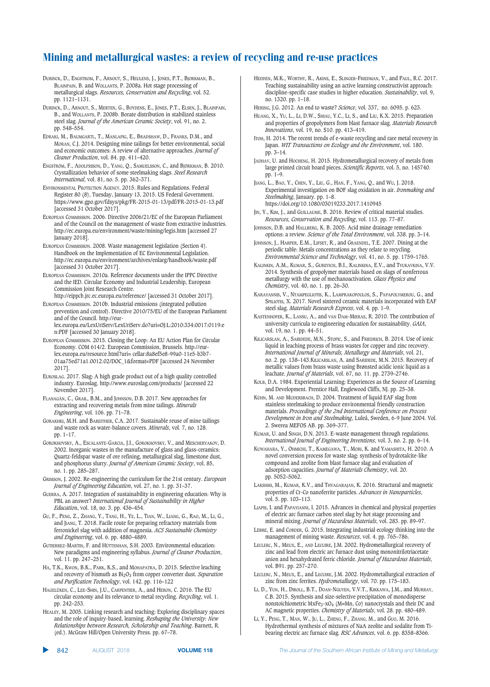- DURINCK, D., ENGSTROM, F., ARNOUT, S., HEULENS, J., JONES, P.T., BJORKMAN, B., BLAINPAIN, B. and WOLLANTS, P. 2008a. Hot stage processing of metallurgical slags. *Resources, Conservation and Recycling*, vol. 52. pp. 1121–1131.
- DURINCK, D., ARNOUT, S., MERTEN, G., BOYDENS, E., JONES, P.T., ELSEN, J., BLAINPAIN, B., and WOLLANTS, P. 2008b. Borate distribution in stabilized stainless steel slag. *Journal of the American Ceramic Society*, vol. 91, no. 2. pp. 548–554.
- EDRAKI, M., BAUMGARTL, T., MANLAPIG, E., BRADSHAW, D., FRANKS, D.M., and MORAN, C.J. 2014. Designing mine tailings for better environmental, social and economic outcomes: A review of alternative approaches. *Journal of Cleaner Production*, vol. 84. pp. 411–420.
- ENGSTRÖM, F., ADOLFSSSON, D., YANG, Q., SAMUELSSON, C., and BJÖRKMAN, B. 2010. Crystallization behavior of some steelmaking slags. *Steel Research International*, vol. 81, no. 5. pp. 362–371.
- ENVIRONMENTAL PROTECTION AGENCY. 2015. Rules and Regulations. Federal Register 80 (8), Tuesday, January 13, 2015. US Federal Government. https://www.gpo.gov/fdsys/pkg/FR-2015-01-13/pdf/FR-2015-01-13.pdf [accessed 31 October 2017].
- EUROPEAN COMMISSION. 2006. Directive 2006/21/EC of the European Parliament and of the Council on the management of waste from extractive industries. http://ec.europa.eu/environment/waste/mining/legis.htm [accessed 27 January 2018].
- EUROPEAN COMMISSION. 2008. Waste management legislation (Section 4). Handbook on the Implementation of EC Environmental Legislation. http://ec.europa.eu/environment/archives/enlarg/handbook/waste.pdf [accessed 31 October 2017].
- EUROPEAN COMMISSION. 2010a. Reference documents under the IPPC Directive and the IED. Circular Economy and Industrial Leadership, European Commission Joint Research Centre. http://eippcb.jrc.ec.europa.eu/reference/ [accessed 31 October 2017].
- EUROPEAN COMMISSION. 2010b. Industrial emissions (integrated pollution prevention and control). Directive 2010/75/EU of the European Parliament and of the Council. http://eurlex.europa.eu/LexUriServ/LexUriServ.do?uri=OJ:L:2010:334:0017:0119:e n:PDF [accessed 30 January 2018].
- EUROPEAN COMMISSION. 2015. Closing the Loop: An EU Action Plan for Circular Economy. COM 614/2. European Commission, Brussels. http://eurlex.europa.eu/resource.html?uri= cellar:8a8ef5e8-99a0-11e5-b3b7- 01aa75ed71a1.0012.02/DOC\_1&format=PDF [accessed 24 November 2017].
- EUROSLAG. 2017. Slag: A high grade product out of a high quality controlled industry. Euroslag. http://www.euroslag.com/products/ [accessed 22 November 2017].
- FLANAGÁN, C., GRAIL, B.M., and JOHNSON, D.B. 2017. New approaches for extracting and recovering metals from mine tailings. *Minerals Engineering*, vol. 106. pp. 71–78.
- GORAKHKI, M.H. and BAREITHER, C.A. 2017. Sustainable reuse of mine tailings and waste rock as water-balance covers. *Minerals*, vol. 7, no. 128. pp. 1–17.
- GOROKHOVSKY, A., ESCALANTE-GARCIA, J.I., GOROKHOVSKY, V., and MESCHERYAKOV, D. 2002. Inorganic wastes in the manufacture of glass and glass-ceramics: Quartz-feldspar waste of ore refining, metallurgical slag, limestone dust, and phosphorus slurry. *Journal of American Ceramic Society*, vol. 85, no. 1. pp. 285–287.
- GRIMSON, J. 2002. Re-engineering the curriculum for the 21st century. *European Journal of Engineering Education*, vol. 27, no. 1. pp. 31–37.
- GUERRA, A. 2017. Integration of sustainability in engineering education: Why is PBL an answer? *International Journal of Sustainability in Higher Educatio*n, vol. 18, no. 3. pp. 436–454.
- GU, F., PENG, Z., ZHANG, Y., TANG, H., YE, L., TIAN, W., LIANG, G., RAO, M., LI, G., and JIANG, T. 2018. Facile route for preparing refractory materials from ferronickel slag with addition of magnesia. *ACS Sustainable Chemistry and Engineering*, vol. 6. pp. 4880–4889.
- GUTIERREZ-MARTIN, F. and HÜTTENHAN, S.H. 2003. Environmental education: New paradigms and engineering syllabus. *Journal of Cleaner Production*, vol. 11. pp. 247–251.
- HA, T.K., KWON, B.K., PARK, K.S., and MOHAPATRA, D. 2015. Selective leaching and recovery of bismuth as  $Bi<sub>2</sub>O<sub>3</sub>$  from copper converter dust. *Separation and Purification Technology*, vol. 142. pp. 116–122
- HAGELÜKEN, C., LEE-SHIN, J.U., CARPENTIER, A., and HERON, C. 2016. The EU circular economy and its relevance to metal recycling. *Recycling*, vol. 1. pp. 242–253.
- HEALEY, M. 2005. Linking research and teaching: Exploring disciplinary spaces and the role of inquiry-based, learning. *Reshaping the University: New Relationships between Research, Scholarship and Teaching*. Barnett, R. (ed.). McGraw Hill/Open University Press. pp. 67–78.
- HEDDEN, M.K., WORTHY, R., AKINS, E., SLINGER-FRIEDMAN, V., and PAUL, R.C. 2017. Teaching sustainability using an active learning constructivist approach: discipline-specific case studies in higher education. *Sustainability*, vol. 9, no. 1320. pp. 1–18.
- HERING, J.G. 2012. An end to waste? *Science*, vol. 337, no. 6095. p. 623.
- HUANG, X., YU, L., LI, D.W., SHIAU, Y.C., LI, S., and LIU, K.X. 2015. Preparation and properties of geopolymers from blast furnace slag. *Materials Research Innovations*, vol. 19, no. S10. pp. 413–419.
- ITOH, H. 2014. The recent trends of e-waste recycling and rare metal recovery in Japan. *WIT Transactions on Ecology and the Environment*, vol. 180. pp. 3–14.
- JADHAV, U. and HOCHENG, H. 2015. Hydrometallurgical recovery of metals from large printed circuit board pieces. *Scientific Reports*, vol. 5, no. 145740. pp. 1–9.
- JIANG, L., BAO, Y., CHEN, Y., LIU, G., HAN, F., YANG, Q., and WU, J. 2018. Experimental investigation on BOF slag oxidation in air. *Ironmaking and Steelmaking*, January. pp. 1–8. https://doi.org/10.1080/03019233.2017.1410945
- JIN, Y., KIM, J., and GUILLAUME, B. 2016. Review of critical material studies. *Resources, Conservation and Recycling*, vol. 113. pp. 77–87.
- JOHNSON, D.B. and HALLBERG, K. B. 2005. Acid mine drainage remediation options: a review. *Science of the Total Environment*, vol. 338. pp. 3–14.
- JOHNSON, J., HARPER, E.M., LIFSET, R., and GRAENDEL, T.E. 2007. Dining at the periodic table: Metals concentrations as they relate to recycling. *Environmental Science and Technology*, vol. 41, no. 5. pp. 1759–1765.
- KALINKIN, A.M., KUMAR, S., GUREVICH, B.I., KALINKINA, E.V., and TYUKAVKINA, V.V. 2014. Synthesis of geopolymer materials based on slags of nonferrous metallurgy with the use of mechanoactivation. *Glass Physics and Chemistr*y, vol. 40, no. 1. pp. 26–30.
- KARAYANNIS, V., NTAMPEGLIOTIS, K., LAMPRAKOPOULOS, S., PAPAPOLYMEROU, G., and SPILIOTIS, X. 2017. Novel sintered ceramic materials incorporated with EAF steel slag. *Materials Research Express*, vol. 4. pp. 1–9.
- KASTENHOFER, K., LANSU, A., and VAN DAM-MIERAS, R. 2010. The contribution of university curricula to engineering education for sustainability. *GAIA*, vol. 19, no. 1. pp. 44–51.
- KILICARSLAN, A., SARIDEDE, M.N., STOPIC, S., and FRIEDRICH, B. 2014. Use of ionic liquid in leaching process of brass wastes for copper and zinc recovery. *International Journal of Minerals, Metallurgy and Materials*, vol. 21, no. 2. pp. 138-143. KILICARSLAN, A. and SARIDEDE, M.N. 2015. Recovery of metallic values from brass waste using Brønsted acidic ionic liquid as a leachate. *Journal of Materials*, vol. 67, no. 11. pp. 2739–2746.
- KOLB, D.A. 1984. Experiential Learning: Experiences as the Source of Learning and Development. Prentice Hall, Englewood Cliffs, NJ. pp. 25–38.
- KÜHN, M. AND MUDERSBACH, D. 2004. Treatment of liquid EAF slag from stainless steelmaking to produce environmental friendly construction materials. *Proceedings of the 2nd International Conference on Process Development in Iron and Steelmaking*, Luleå, Sweden, 6-9 June 2004. Vol. 2. Swerea MEFOS AB. pp. 369–377.
- KUMAR, U. and SINGH, D.N. 2013. E-waste management through regulations. *International Journal of Engineering Inventions*, vol. 3, no. 2. pp. 6–14.
- KUWAHARA, Y., OHMICHI, T., KAMEGAWA, T., MORI, K. and YAMASHITA, H. 2010. A novel conversion process for waste slag: synthesis of hydrotalcite-like compound and zeolite from blast furnace slag and evaluation of adsorption capacities. *Journal of Materials Chemistry*, vol. 20. pp. 5052–5062.
- LAKSHMI, M., KUMAR, K.V., and THYAGARAJAN, K. 2016. Structural and magnetic properties of Cr-Co nanoferrite particles. *Advances in Nanoparticles*, vol. 5. pp. 103–113.
- LIAPIS, I. and PAPAYIANNI, I. 2015. Advances in chemical and physical properties of electric arc furnace carbon steel slag by hot stage processing and mineral mixing. *Journal of Hazardous Materials*, vol. 283. pp. 89–97.
- LÉBRE, E. and CORDER, G. 2015. Integrating industrial ecology thinking into the management of mining waste. *Resources*, vol. 4. pp. 765–786.
- LECLERC, N., MEUX, E., AND LECUIRE, J.M. 2002. Hydrometallurgical recovery of zinc and lead from electric arc furnace dust using mononitrilotriacetate anion and hexahydrated ferric chloride. *Journal of Hazardous Materials*, vol. B91. pp. 257–270.
- LECLERC, N., MEUX, E., and LECUIRE, J.M. 2002. Hydrometallurgical extraction of zinc from zinc ferrites. *Hydrometallurgy*, vol. 70. pp. 175–183.
- LI, D., YUN, H., DIROLL, B.T., DOAN-NGUYEN, V.V.T., KIKKAWA, J.M., and MURRAY, C.B. 2015. Synthesis and size-selective precipitation of monodisperse nonstoichiometric MxFe3-xO4 (M=Mn, Co) nanocrystals and their DC and AC magnetic properties. *Chemistry of Materials*, vol. 28. pp. 480–489.
- LI, Y., PENG, T., MAN, W., JU, L., ZHENG, F., ZHANG, M., and GUO, M. 2016. Hydrothermal synthesis of mixtures of NaA zeolite and sodalite from Tibearing electric arc furnace slag. *RSC Advances*, vol. 6. pp. 8358–8366.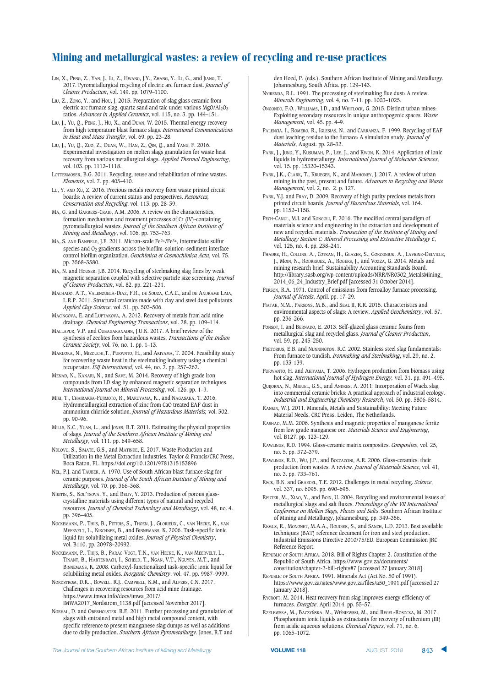- LIN, X., PENG, Z., YAN, J., LI, Z., HWANG, J.Y., ZHANG, Y., LI, G., and JIANG, T. 2017. Pyrometallurgical recycling of electric arc furnace dust. *Journal of Cleaner Production*, vol. 149. pp. 1079–1100.
- LIU, Z., ZONG, Y., and Hou, J. 2013. Preparation of slag glass ceramic from electric arc furnace slag, quartz sand and talc under various MgO/Al<sub>2</sub>O<sub>3</sub> ratios. *Advances in Applied Ceramics*, vol. 115, no. 3. pp. 144–151.
- LIU, J., YU, Q., PENG, J., HU, X., and DUAN, W. 2015. Thermal energy recovery from high temperature blast furnace slags. *International Communications in Heat and Mass Transfer*, vol. 69. pp. 23–28.
- LIU, J., YU, Q., ZUO, Z., DUAN, W., HAN, Z., QIN, Q., and YANG, F. 2016. Experimental investigation on molten slags granulation for waste heat recovery from various metallurgical slags. *Applied Thermal Engineering*, vol. 103. pp. 1112–1118.
- LOTTERMOSER, B.G. 2011. Recycling, reuse and rehabilitation of mine wastes. *Elements*, vol. 7. pp. 405–410.
- LU, Y. AND XU, Z. 2016. Precious metals recovery from waste printed circuit boards: A review of current status and perspectives. *Resources, Conservation and Recycling*, vol. 113. pp. 28–39.
- MA, G. and GARBERS-CRAIG, A.M. 2006. A review on the characteristics, formation mechanism and treatment processes of Cr (IV)-containing pyrometallurgical wastes. *Journal of the Southern African Institute of Mining and Metallurgy*, vol. 106. pp. 753–763.
- MA, S. AND BANFIELD, J.F. 2011. Micron-scale Fe2+/Fe3+, intermediate sulfur species and  $O_2$  gradients across the biofilm-solution-sediment interface control biofilm organization. *Geochimica et Cosmochimica Acta*, vol. 75. pp. 3568–3580.
- MA, N. and HOUSER, J.B. 2014. Recycling of steelmaking slag fines by weak magnetic separation coupled with selective particle size screening. *Journal of Cleaner Production*, vol. 82. pp. 221–231.
- MACHADO, A.T., VALENZUELA-DIAZ, F.R., DE SOUZA, C.A.C., and DE ANDRAME LIMA, L.R.P. 2011. Structural ceramics made with clay and steel dust pollutants. *Applied Clay Science*, vol. 51. pp. 503–506.
- MACINGOVA, E. and LUPTAKOVA, A. 2012. Recovery of metals from acid mine drainage. *Chemical Engineering Transactions*, vol. 28. pp. 109–114.
- MALLAPUR, V.P. and OUBAGARANADIN, J.U.K. 2017. A brief review of the synthesis of zeolites from hazardous wastes. *Transactions of the Indian Ceramic Society*, vol. 76, no. 1. pp. 1–13.
- MARUOKA, N., MIZOUCHI,T., PURWNTO, H., and AKIYAMA, T. 2004. Feasibility study for recovering waste heat in the steelmaking industry using a chemical recuperator. *ISIJ International*, vol. 44, no. 2. pp. 257–262.
- MENAD, N., KANARI, N., and SAVE, M. 2014. Recovery of high grade iron compounds from LD slag by enhanced magnetic separation techniques. *International Journal on Mineral Processing*, vol. 126. pp. 1–9.
- MIKI, T., CHAIRAKSA-FUJIMOTO, R., MARUYAMA, K., and NAGASAKA, T. 2016. Hydrometallurgical extraction of zinc from CaO treated EAF dust in ammonium chloride solution. *Journal of Hazardous Materials,* vol. 302. pp. 90–96.
- MILLS, K.C., YUAN, L., and JONES, R.T. 2011. Estimating the physical properties of slags. *Journal of the Southern African Institute of Mining and Metallurgy*, vol. 111. pp. 649–658.
- NDLOVU, S., SIMATE, G.S., and MATINDE, E. 2017. Waste Production and Utilization in the Metal Extraction Industries. Taylor & Francis/CRC Press, Boca Raton, FL. https://doi.org/10.1201/9781315153896
- NEL, P.J. and TÄUBER, A. 1970. Use of South African blast furnace slag for ceramic purposes. *Journal of the South African Institute of Mining and Metallurgy*, vol. 70. pp. 366–368.
- NIKITIN, S., KOL'TSOVA, Y., and BELIY, Y. 2013. Production of porous glasscrystalline materials using different types of natural and recycled resources. *Journal of Chemical Technology and Metallurgy*, vol. 48, no. 4. pp. 396–405.
- NOCKEMANN, P., THIJS, B., PITTOIS, S., THOEN, J., GLORIEUX, C., VAN HECKE, K., VAN MEERVELT, L., KIRCHNER, B., and BINNEMANS, K. 2006. Task-specific ionic liquid for solubilizing metal oxides. *Journal of Physical Chemistry*, vol. B110. pp. 20978–20992.
- NOCKEMANN, P., THIJS, B., PARAC-VOGT, T.N., VAN HECKE, K., VAN MEERVELT, L., TINANT, B., HARTENBACH, I., SCHELD, T., NGAN, V.T., NGUYEN, M.T., and BINNEMANS, K. 2008. Carboxyl-functionalized task-specific ionic liquid for solubilizing metal oxides. *Inorganic Chemistry*, vol. 47. pp. 9987–9999.
- NORDSTROM, D.K.., BOWELL, R.J., CAMPBELL, K.M., and ALPERS, C.N. 2017. Challenges in recovering resources from acid mine drainage. https://www.imwa.info/docs/imwa\_2017/ IMWA2017\_Nordstrom\_1138.pdf [accessed November 2017].
- NORVAL, D. and OBERHOLSTER, R.E. 2011. Further processing and granulation of slags with entrained metal and high metal compound content, with specific reference to present manganese slag dumps as well as additions due to daily production. *Southern African Pyrometallurgy*. Jones, R.T and

den Hoed, P. (eds.). Southern African Institute of Mining and Metallurgy. Johannesburg, South Africa. pp. 129–143.

- NYIRENDA, R.L. 1991. The processing of steelmaking flue dust: A review. *Minerals Engineering*, vol. 4, no. 7-11. pp. 1003–1025.
- ONGONDO, F.O., WILLIAMS, I.D., and WHITLOCK, G. 2015. Distinct urban mines: Exploiting secondary resources in unique anthropogenic spaces. *Waste Management*, vol. 45. pp. 4–9.
- PALENCIA. I., ROMERO, R., IGLESIAS, N., and CARRANZA, F. 1999. Recycling of EAF dust leaching residue to the furnace: A simulation study. *Journal of Materials*, August. pp. 28–32.
- PARK, J., JUNG, Y., KUSUMAH, P., LEE, J., and KWON, K. 2014. Application of ionic liquids in hydrometallurgy. *International Journal of Molecular Sciences*, vol. 15. pp. 15320–15343.
- PARK, J.K., CLARK, T., KRUEGER, N., and MAHONEY, J. 2017. A review of urban mining in the past, present and future. *Advances in Recycling and Waste Management*, vol. 2, no. 2. p. 127.
- PARK, Y.J. and FRAY, D. 2009. Recovery of high purity precious metals from printed circuit boards. *Journal of Hazardous Materials*, vol. 164. pp. 1152–1158.
- PECH-CANUL, M.I. and KONGOLI, F. 2016. The modified central paradigm of materials science and engineering in the extraction and development of new and recycled materials. *Transaction of the Institute of Mining and Metallurgy Section C: Mineral Processing and Extractive Metallurgy C*, vol. 125, no. 4. pp. 238–241.
- PHADKE, H., COLLINS, A., COTRAN, H., GLAZER, S., GOROGNIUK, A., LAVIGNE-DELVILLE, J., MOIN, N., RODRIGUEZ, A., ROGERS, J., and VOZZA, G. 2014. Metals and mining research brief. Sustainability Accounting Standards Board. http://library.sasb.org/wp-content/uploads/NRR/NR0302\_MetalsMining\_ 2014\_06\_24\_Industry\_Brief.pdf [accessed 31 October 2014].
- PERSON, R.A. 1971. Control of emissions from ferroalloy furnace processing. *Journal of Metals*, April. pp. 17–29.
- PIATAK, N.M., PARSONS, M.B., and SEAL II, R.R. 2015. Characteristics and environmental aspects of slags: A review. *Applied Geochemistry*, vol. 57. pp. 236–266.
- PONSOT, I. and BERNADO, E. 2013. Self-glazed glass ceramic foams from metallurgical slag and recycled glass. *Journal of Cleaner Production*, vol. 59. pp. 245–250.
- PRETORIUS, E.B. and NUNNINGTON, R.C. 2002. Stainless steel slag fundamentals: From furnace to tundish. *Ironmaking and Steelmaking*, vol. 29, no. 2. pp. 133-139.
- PURWANTO, H. and AKIYAMA, T. 2006. Hydrogen production from biomass using hot slag. *International Journal of Hydrogen Energy,* vol. 31. pp. 491–495.
- QUIJORNA, N., MIGUEL, G.S., and ANDRES, A. 2011. Incorporation of Waelz slag into commercial ceramic bricks: A practical approach of industrial ecology. *Industrial and Engineering Chemistry Research*, vol. 50. pp. 5806–5814.
- RANKIN, W.J. 2011. Minerals, Metals and Sustainability: Meeting Future Material Needs. CRC Press, Leiden, The Netherlands.
- RASHAD, M.M. 2006. Synthesis and magnetic properties of manganese ferrite from low grade manganese ore. *Materials Science and Engineering*, vol. B127. pp. 123–129.
- RAWLINGS, R.D. 1994. Glass-ceramic matrix composites. *Composites*, vol. 25, no. 5. pp. 372–379.
- RAWLINGS, R.D., WU, J.P., and BOCCACCINI, A.R. 2006. Glass-ceramics: their production from wastes. A review. *Journal of Materials Science*, vol. 41, no. 3. pp. 733–761.
- RECK, B.K. and GRAEDEL, T.E. 2012. Challenges in metal recycling. *Science*, vol. 337, no. 6095. pp. 690–695.
- REUTER, M., XIAO, Y., and BOIN, U. 2004. Recycling and environmental issues of metallurgical slags and salt fluxes. *Proceedings of the VII International Conference on Molten Slags, Fluxes and Salts*. Southern African Institute of Mining and Metallurgy, Johannesburg. pp. 349–356.
- REMUS, R., MONONET, M.A.A., ROUDIER, S., and SANCH, L.D. 2013. Best available techniques (BAT) reference document for iron and steel production. Industrial Emissions Directive 2010/75/EU. European Commission JRC Reference Report.
- REPUBLIC OF SOUTH AFRICA. 2018. Bill of Rights Chapter 2. Constitution of the Republic of South Africa. https://www.gov.za/documents/ constitution/chapter-2-bill-rights#7 [accessed 27 January 2018].
- REPUBLIC OF SOUTH AFRICA. 1991. Minerals Act (Act No. 50 of 1991). https://www.gov.za/sites/www.gov.za/files/a50\_1991.pdf [accessed 27 January 2018].
- RYCROFT, M. 2014. Heat recovery from slag improves energy efficiency of furnaces. *Energize*, April 2014. pp. 55–57.

 **VOLUME 118**  

RZELEWSKA, M., BACZYŃSKA, M., WIŚNIEWSKI, M., and REGEL-ROSOCKA, M. 2017. Phosphonium ionic liquids as extractants for recovery of ruthenium (III) from acidic aqueous solutions. *Chemical Papers*, vol. 71, no. 6. pp. 1065–1072.